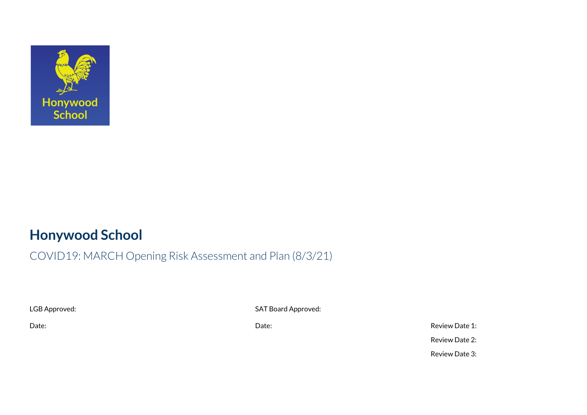

## **Honywood School**

## COVID19: MARCH Opening Risk Assessment and Plan (8/3/21)

LGB Approved: SAT Board Approved:

Date: Date: Review Date 1: Review Date 2: Review Date 3: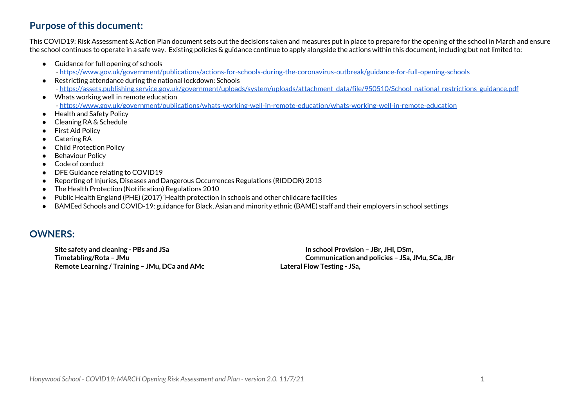### **Purpose of this document:**

This COVID19: Risk Assessment & Action Plan document sets out the decisions taken and measures put in place to prepare for the opening of the school in March and ensure the school continues to operate in a safe way. Existing policies & guidance continue to apply alongside the actions within this document, including but not limited to:

- Guidance for full opening of schools
	- <https://www.gov.uk/government/publications/actions-for-schools-during-the-coronavirus-outbreak/guidance-for-full-opening-schools>
- Restricting attendance during the national lockdown: Schools - [https://assets.publishing.service.gov.uk/government/uploads/system/uploads/attachment\\_data/file/950510/School\\_national\\_restrictions\\_guidance.pdf](https://assets.publishing.service.gov.uk/government/uploads/system/uploads/attachment_data/file/950510/School_national_restrictions_guidance.pdf)
- Whats working well in remote education - <https://www.gov.uk/government/publications/whats-working-well-in-remote-education/whats-working-well-in-remote-education>
- Health and Safety Policy
- Cleaning RA & Schedule
- First Aid Policy
- Catering RA
- Child Protection Policy
- Behaviour Policy
- Code of conduct
- DFE Guidance relating to COVID19
- Reporting of Injuries, Diseases and Dangerous Occurrences Regulations (RIDDOR) 2013
- The Health Protection (Notification) Regulations 2010
- Public Health England (PHE) (2017) 'Health protection in schools and other childcare facilities
- BAMEed Schools and COVID-19: guidance for Black, Asian and minority ethnic (BAME) staff and their employers in school settings

### **OWNERS:**

**Site safety and cleaning - PBs and JSa In school Provision – JBr, JHi, DSm, Remote Learning / Training – JMu, DCa and AMc Lateral Flow Testing - JSa,**

**Timetabling/Rota – JMu Communication and policies – JSa, JMu, SCa, JBr**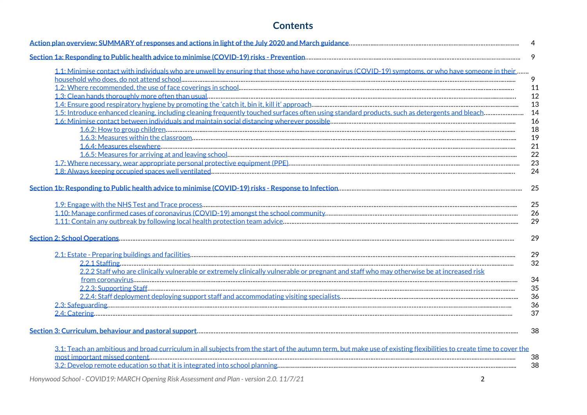### **Contents**

|                                                                                                                                                                    | 4  |
|--------------------------------------------------------------------------------------------------------------------------------------------------------------------|----|
|                                                                                                                                                                    | 9  |
| 1.1: Minimise contact with individuals who are unwell by ensuring that those who have coronavirus (COVID-19) symptoms, or who have someone in their                |    |
|                                                                                                                                                                    | 9  |
|                                                                                                                                                                    | 11 |
|                                                                                                                                                                    | 12 |
|                                                                                                                                                                    | 13 |
|                                                                                                                                                                    | 14 |
|                                                                                                                                                                    | 16 |
|                                                                                                                                                                    | 18 |
|                                                                                                                                                                    | 19 |
|                                                                                                                                                                    | 21 |
|                                                                                                                                                                    | 22 |
|                                                                                                                                                                    | 23 |
|                                                                                                                                                                    | 24 |
|                                                                                                                                                                    |    |
|                                                                                                                                                                    | 25 |
|                                                                                                                                                                    |    |
|                                                                                                                                                                    | 25 |
|                                                                                                                                                                    | 26 |
|                                                                                                                                                                    | 29 |
|                                                                                                                                                                    | 29 |
|                                                                                                                                                                    | 29 |
|                                                                                                                                                                    | 32 |
| 2.2.2 Staff who are clinically vulnerable or extremely clinically vulnerable or pregnant and staff who may otherwise be at increased risk                          |    |
|                                                                                                                                                                    | 34 |
|                                                                                                                                                                    | 35 |
|                                                                                                                                                                    | 36 |
|                                                                                                                                                                    | 36 |
|                                                                                                                                                                    | 37 |
|                                                                                                                                                                    |    |
|                                                                                                                                                                    | 38 |
|                                                                                                                                                                    |    |
| 3.1: Teach an ambitious and broad curriculum in all subjects from the start of the autumn term, but make use of existing flexibilities to create time to cover the |    |
|                                                                                                                                                                    | 38 |
|                                                                                                                                                                    | 38 |
|                                                                                                                                                                    |    |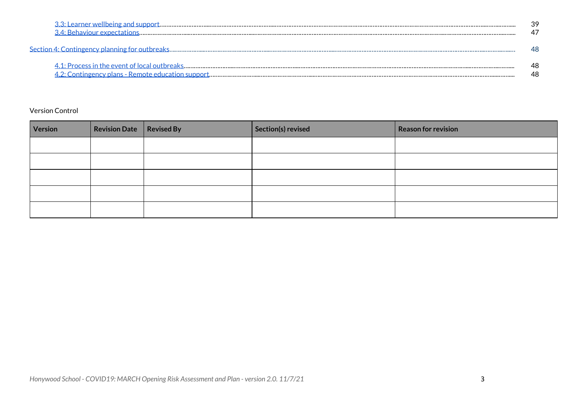| 39 |
|----|
|    |
| 48 |

### Version Control

| Version | Revision Date Revised By | Section(s) revised | Reason for revision |
|---------|--------------------------|--------------------|---------------------|
|         |                          |                    |                     |
|         |                          |                    |                     |
|         |                          |                    |                     |
|         |                          |                    |                     |
|         |                          |                    |                     |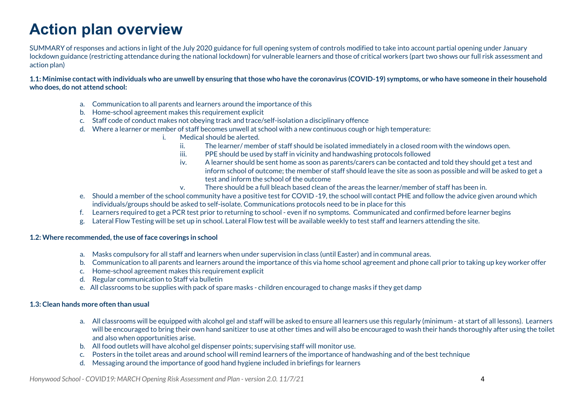# **Action plan overview**

SUMMARY of responses and actions in light of the July 2020 guidance for full opening system of controls modified to take into account partial opening under January lockdown guidance (restricting attendance during the national lockdown) for vulnerable learners and those of critical workers (part two shows our full risk assessment and action plan)

1.1: Minimise contact with individuals who are unwell by ensuring that those who have the coronavirus (COVID-19) symptoms, or who have someone in their household **who does, do not attend school:**

- a. Communication to all parents and learners around the importance of this
- b. Home-school agreement makes this requirement explicit
- c. Staff code of conduct makes not obeying track and trace/self-isolation a disciplinary offence
- d. Where a learner or member of staff becomes unwell at school with a new continuous cough or high temperature:
	- i. Medical should be alerted.
		- ii. The learner/ member of staff should be isolated immediately in a closed room with the windows open.
		- iii. PPE should be used by staff in vicinity and handwashing protocols followed
		- iv. A learner should be sent home as soon as parents/carers can be contacted and told they should get a test and inform school of outcome; the member of staff should leave the site as soon as possible and will be asked to get a test and inform the school of the outcome
		- v. There should be a full bleach based clean of the areas the learner/member of staff has been in.
- e. Should a member of the school community have a positive test for COVID -19, the school will contact PHE and follow the advice given around which individuals/groups should be asked to self-isolate. Communications protocols need to be in place for this
- f. Learners required to get a PCR test prior to returning to school even if no symptoms. Communicated and confirmed before learner begins
- g. Lateral Flow Testing will be set up in school. Lateral Flow test will be available weekly to test staff and learners attending the site.

#### **1.2: Where recommended,the use of face coverings in school**

- a. Masks compulsory for all staff and learners when under supervision in class (until Easter) and in communal areas.
- b. Communication to all parents and learners around the importance of this via home school agreement and phone call prior to taking up key worker offer
- c. Home-school agreement makes this requirement explicit
- d. Regular communication to Staff via bulletin
- e. All classrooms to be supplies with pack of spare masks children encouraged to change masks if they get damp

#### **1.3: Clean hands more often than usual**

- a. All classrooms will be equipped with alcohol gel and staff will be asked to ensure all learners use this regularly (minimum at start of all lessons). Learners will be encouraged to bring their own hand sanitizer to use at other times and will also be encouraged to wash their hands thoroughly after using the toilet and also when opportunities arise.
- b. All food outlets will have alcohol gel dispenser points; supervising staff will monitor use.
- c. Posters in the toilet areas and around school will remind learners of the importance of handwashing and of the best technique
- d. Messaging around the importance of good hand hygiene included in briefings for learners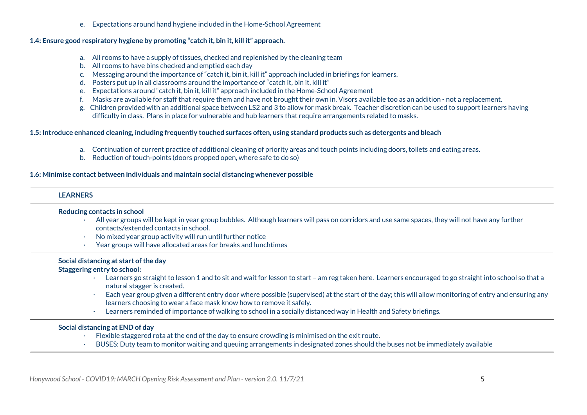e. Expectations around hand hygiene included in the Home-School Agreement

### **1.4: Ensure good respiratory hygiene by promoting "catch it, bin it, kill it" approach.**

- a. All rooms to have a supply of tissues, checked and replenished by the cleaning team
- b. All rooms to have bins checked and emptied each day
- c. Messaging around the importance of "catch it, bin it, kill it" approach included in briefings for learners.
- d. Posters put up in all classrooms around the importance of "catch it, bin it, kill it"
- e. Expectations around "catch it, bin it, kill it" approach included in the Home-School Agreement
- f. Masks are available for staff that require them and have not brought their own in. Visors available too as an addition not a replacement.
- g. Children provided with an additional space between LS2 and 3 to allow for mask break. Teacher discretion can be used to support learners having difficulty in class. Plans in place for vulnerable and hub learners that require arrangements related to masks.

### 1.5: Introduce enhanced cleaning, including frequently touched surfaces often, using standard products such as detergents and bleach

- a. Continuation of current practice of additional cleaning of priority areas and touch points including doors, toilets and eating areas.
- b. Reduction of touch-points (doors propped open, where safe to do so)

### **1.6: Minimise contact between individuals and maintain social distancing whenever possible**

| <b>LEARNERS</b> |                                                                                                                                                                                                                                                                                                                                                                                                                                                                                                                                                                                                                                                     |
|-----------------|-----------------------------------------------------------------------------------------------------------------------------------------------------------------------------------------------------------------------------------------------------------------------------------------------------------------------------------------------------------------------------------------------------------------------------------------------------------------------------------------------------------------------------------------------------------------------------------------------------------------------------------------------------|
|                 | Reducing contacts in school<br>All year groups will be kept in year group bubbles. Although learners will pass on corridors and use same spaces, they will not have any further<br>contacts/extended contacts in school.<br>No mixed year group activity will run until further notice<br>Year groups will have allocated areas for breaks and lunchtimes                                                                                                                                                                                                                                                                                           |
|                 | Social distancing at start of the day<br><b>Staggering entry to school:</b><br>Learners go straight to lesson 1 and to sit and wait for lesson to start - am reg taken here. Learners encouraged to go straight into school so that a<br>natural stagger is created.<br>Each year group given a different entry door where possible (supervised) at the start of the day; this will allow monitoring of entry and ensuring any<br>$\bullet$<br>learners choosing to wear a face mask know how to remove it safely.<br>Learners reminded of importance of walking to school in a socially distanced way in Health and Safety briefings.<br>$\bullet$ |
|                 | Social distancing at END of day<br>Flexible staggered rota at the end of the day to ensure crowding is minimised on the exit route.<br>BUSES: Duty team to monitor waiting and queuing arrangements in designated zones should the buses not be immediately available                                                                                                                                                                                                                                                                                                                                                                               |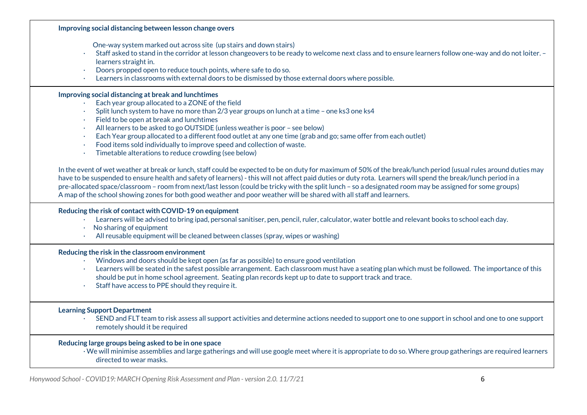**Improving social distancing between lesson change overs** One-way system marked out across site (up stairs and down stairs) · Staff asked to stand in the corridor at lesson changeovers to be ready to welcome next class and to ensure learners follow one-way and do not loiter. – learners straight in. · Doors propped open to reduce touch points, where safe to do so. · Learners in classrooms with external doors to be dismissed by those external doors where possible. **Improving social distancing at break and lunchtimes** · Each year group allocated to a ZONE of the field · Split lunch system to have no more than 2/3 year groups on lunch at a time – one ks3 one ks4 · Field to be open at break and lunchtimes · All learners to be asked to go OUTSIDE (unless weather is poor – see below) · Each Year group allocated to a different food outlet at any one time (grab and go; same offer from each outlet) · Food items sold individually to improve speed and collection of waste. · Timetable alterations to reduce crowding (see below) In the event of wet weather at break or lunch, staff could be expected to be on duty for maximum of 50% of the break/lunch period (usual rules around duties may have to be suspended to ensure health and safety of learners) - this will not affect paid duties or duty rota. Learners will spend the break/lunch period in a pre-allocated space/classroom – room from next/last lesson (could be tricky with the split lunch – so a designated room may be assigned for some groups) A map of the school showing zones for both good weather and poor weather will be shared with all staff and learners. **Reducing the risk of contact with COVID-19 on equipment** · Learners will be advised to bring ipad, personal sanitiser, pen, pencil, ruler, calculator, water bottle and relevant books to school each day.  $\cdot$  No sharing of equipment · All reusable equipment will be cleaned between classes (spray, wipes or washing) **Reducing the risk in the classroom environment** · Windows and doors should be kept open (as far as possible) to ensure good ventilation · Learners will be seated in the safest possible arrangement. Each classroom must have a seating plan which must be followed. The importance of this should be put in home school agreement. Seating plan records kept up to date to support track and trace. · Staff have access to PPE should they require it. **Learning Support Department** · SEND and FLT team to risk assess all support activities and determine actions needed to support one to one support in school and one to one support remotely should it be required **Reducing large groups being asked to be in one space** · We will minimise assemblies and large gatherings and will use google meet where it is appropriate to do so. Where group gatherings are required learners directed to wear masks.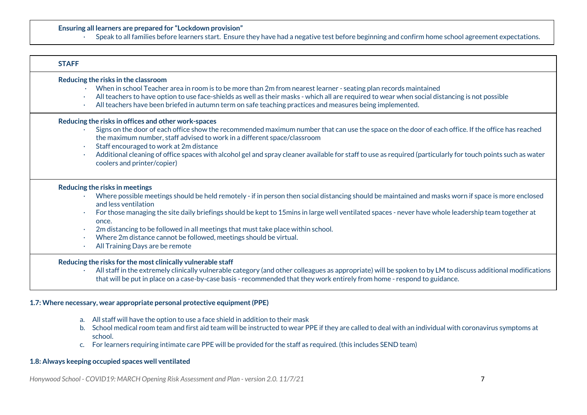#### **Ensuring all learners are prepared for "Lockdown provision"**

· Speak to all families before learners start. Ensure they have had a negative test before beginning and confirm home school agreement expectations.

| <b>STAFF</b>                                                                                                                                                                                                                                                                                                                                                                                                                                                                                                                                                              |
|---------------------------------------------------------------------------------------------------------------------------------------------------------------------------------------------------------------------------------------------------------------------------------------------------------------------------------------------------------------------------------------------------------------------------------------------------------------------------------------------------------------------------------------------------------------------------|
| Reducing the risks in the classroom<br>When in school Teacher area in room is to be more than 2m from nearest learner - seating plan records maintained<br>All teachers to have option to use face-shields as well as their masks - which all are required to wear when social distancing is not possible<br>$\bullet$<br>All teachers have been briefed in autumn term on safe teaching practices and measures being implemented.                                                                                                                                        |
| Reducing the risks in offices and other work-spaces<br>Signs on the door of each office show the recommended maximum number that can use the space on the door of each office. If the office has reached<br>the maximum number, staff advised to work in a different space/classroom<br>Staff encouraged to work at 2m distance<br>$\bullet$<br>Additional cleaning of office spaces with alcohol gel and spray cleaner available for staff to use as required (particularly for touch points such as water<br>coolers and printer/copier)                                |
| Reducing the risks in meetings<br>Where possible meetings should be held remotely - if in person then social distancing should be maintained and masks worn if space is more enclosed<br>and less ventilation<br>For those managing the site daily briefings should be kept to 15mins in large well ventilated spaces - never have whole leadership team together at<br>once.<br>2m distancing to be followed in all meetings that must take place within school.<br>Where 2m distance cannot be followed, meetings should be virtual.<br>All Training Days are be remote |
| Reducing the risks for the most clinically vulnerable staff<br>All staff in the extremely clinically vulnerable category (and other colleagues as appropriate) will be spoken to by LM to discuss additional modifications<br>that will be put in place on a case-by-case basis - recommended that they work entirely from home - respond to guidance.                                                                                                                                                                                                                    |
| 1.7: Where necessary, wear appropriate personal protective equipment (PPE)                                                                                                                                                                                                                                                                                                                                                                                                                                                                                                |

#### a. All staff will have the option to use a face shield in addition to their mask

- b. School medical room team and first aid team will be instructed to wear PPE if they are called to deal with an individual with coronavirus symptoms at school.
- c. For learners requiring intimate care PPE will be provided for the staff as required. (this includes SEND team)

#### **1.8: Always keeping occupied spaces well ventilated**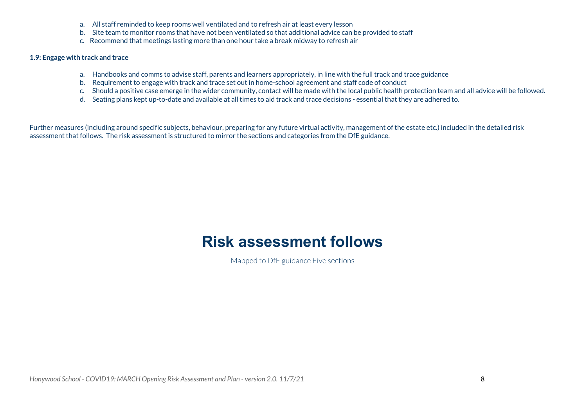- a. All staff reminded to keep rooms well ventilated and to refresh air at least every lesson
- b. Site team to monitor rooms that have not been ventilated so that additional advice can be provided to staff
- c. Recommend that meetings lasting more than one hour take a break midway to refresh air

#### **1.9: Engage with track and trace**

- a. Handbooks and comms to advise staff, parents and learners appropriately, in line with the full track and trace guidance
- b. Requirement to engage with track and trace set out in home-school agreement and staff code of conduct
- c. Should a positive case emerge in the wider community, contact will be made with the local public health protection team and all advice will be followed.
- d. Seating plans kept up-to-date and available at all times to aid track and trace decisions essential that they are adhered to.

Further measures (including around specific subjects, behaviour, preparing for any future virtual activity, management of the estate etc.) included in the detailed risk assessment that follows. The risk assessment is structured to mirror the sections and categories from the DfE guidance.

## **Risk assessment follows**

Mapped to DfE guidance Five sections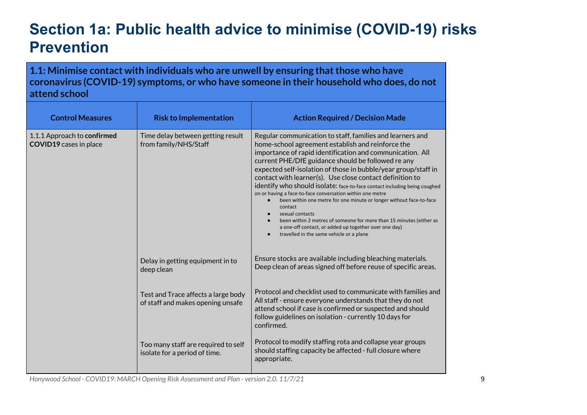# <span id="page-9-0"></span>**Section 1a: Public health advice to minimise (COVID-19) risks Prevention**

<span id="page-9-1"></span>**1.1: Minimise contact with individuals who are unwell by ensuring thatthose who have coronavirus (COVID-19) symptoms, or who have someone in their household who does, do not attend school**

| <b>Control Measures</b>                                      | <b>Risk to Implementation</b>                                            | <b>Action Required / Decision Made</b>                                                                                                                                                                                                                                                                                                                                                                                                                                                                                                                                                                                                                                                                                                                                                                               |
|--------------------------------------------------------------|--------------------------------------------------------------------------|----------------------------------------------------------------------------------------------------------------------------------------------------------------------------------------------------------------------------------------------------------------------------------------------------------------------------------------------------------------------------------------------------------------------------------------------------------------------------------------------------------------------------------------------------------------------------------------------------------------------------------------------------------------------------------------------------------------------------------------------------------------------------------------------------------------------|
| 1.1.1 Approach to confirmed<br><b>COVID19</b> cases in place | Time delay between getting result<br>from family/NHS/Staff               | Regular communication to staff, families and learners and<br>home-school agreement establish and reinforce the<br>importance of rapid identification and communication. All<br>current PHE/DfE guidance should be followed re any<br>expected self-isolation of those in bubble/year group/staff in<br>contact with learner(s). Use close contact definition to<br>identify who should isolate: face-to-face contact including being coughed<br>on or having a face-to-face conversation within one metre<br>been within one metre for one minute or longer without face-to-face<br>contact<br>sexual contacts<br>$\bullet$<br>been within 2 metres of someone for more than 15 minutes (either as<br>a one-off contact, or added up together over one day)<br>travelled in the same vehicle or a plane<br>$\bullet$ |
|                                                              | Delay in getting equipment in to<br>deep clean                           | Ensure stocks are available including bleaching materials.<br>Deep clean of areas signed off before reuse of specific areas.                                                                                                                                                                                                                                                                                                                                                                                                                                                                                                                                                                                                                                                                                         |
|                                                              | Test and Trace affects a large body<br>of staff and makes opening unsafe | Protocol and checklist used to communicate with families and<br>All staff - ensure everyone understands that they do not<br>attend school if case is confirmed or suspected and should<br>follow guidelines on isolation - currently 10 days for<br>confirmed.                                                                                                                                                                                                                                                                                                                                                                                                                                                                                                                                                       |
|                                                              | Too many staff are required to self<br>isolate for a period of time.     | Protocol to modify staffing rota and collapse year groups<br>should staffing capacity be affected - full closure where<br>appropriate.                                                                                                                                                                                                                                                                                                                                                                                                                                                                                                                                                                                                                                                                               |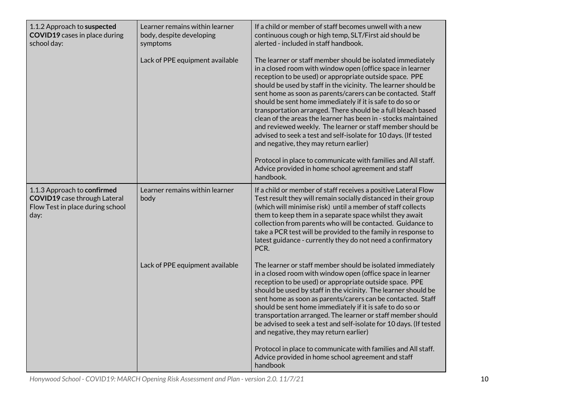| 1.1.2 Approach to suspected<br><b>COVID19</b> cases in place during<br>school day:                             | Learner remains within learner<br>body, despite developing<br>symptoms<br>Lack of PPE equipment available | If a child or member of staff becomes unwell with a new<br>continuous cough or high temp, SLT/First aid should be<br>alerted - included in staff handbook.<br>The learner or staff member should be isolated immediately<br>in a closed room with window open (office space in learner<br>reception to be used) or appropriate outside space. PPE<br>should be used by staff in the vicinity. The learner should be<br>sent home as soon as parents/carers can be contacted. Staff<br>should be sent home immediately if it is safe to do so or<br>transportation arranged. There should be a full bleach based<br>clean of the areas the learner has been in - stocks maintained<br>and reviewed weekly. The learner or staff member should be<br>advised to seek a test and self-isolate for 10 days. (If tested<br>and negative, they may return earlier)<br>Protocol in place to communicate with families and All staff.<br>Advice provided in home school agreement and staff<br>handbook. |
|----------------------------------------------------------------------------------------------------------------|-----------------------------------------------------------------------------------------------------------|--------------------------------------------------------------------------------------------------------------------------------------------------------------------------------------------------------------------------------------------------------------------------------------------------------------------------------------------------------------------------------------------------------------------------------------------------------------------------------------------------------------------------------------------------------------------------------------------------------------------------------------------------------------------------------------------------------------------------------------------------------------------------------------------------------------------------------------------------------------------------------------------------------------------------------------------------------------------------------------------------|
| 1.1.3 Approach to confirmed<br><b>COVID19</b> case through Lateral<br>Flow Test in place during school<br>day: | Learner remains within learner<br>body                                                                    | If a child or member of staff receives a positive Lateral Flow<br>Test result they will remain socially distanced in their group<br>(which will minimise risk) until a member of staff collects<br>them to keep them in a separate space whilst they await<br>collection from parents who will be contacted. Guidance to<br>take a PCR test will be provided to the family in response to<br>latest guidance - currently they do not need a confirmatory<br>PCR.                                                                                                                                                                                                                                                                                                                                                                                                                                                                                                                                 |
|                                                                                                                | Lack of PPE equipment available                                                                           | The learner or staff member should be isolated immediately<br>in a closed room with window open (office space in learner<br>reception to be used) or appropriate outside space. PPE<br>should be used by staff in the vicinity. The learner should be<br>sent home as soon as parents/carers can be contacted. Staff<br>should be sent home immediately if it is safe to do so or<br>transportation arranged. The learner or staff member should<br>be advised to seek a test and self-isolate for 10 days. (If tested<br>and negative, they may return earlier)                                                                                                                                                                                                                                                                                                                                                                                                                                 |
|                                                                                                                |                                                                                                           | Protocol in place to communicate with families and All staff.<br>Advice provided in home school agreement and staff<br>handbook                                                                                                                                                                                                                                                                                                                                                                                                                                                                                                                                                                                                                                                                                                                                                                                                                                                                  |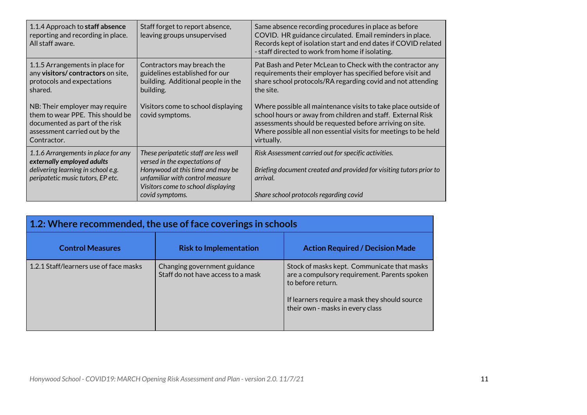| 1.1.4 Approach to staff absence<br>reporting and recording in place.<br>All staff aware.                                                             | Staff forget to report absence,<br>leaving groups unsupervised                                                                                                                                         | Same absence recording procedures in place as before<br>COVID. HR guidance circulated. Email reminders in place.<br>Records kept of isolation start and end dates if COVID related<br>- staff directed to work from home if isolating.                                     |
|------------------------------------------------------------------------------------------------------------------------------------------------------|--------------------------------------------------------------------------------------------------------------------------------------------------------------------------------------------------------|----------------------------------------------------------------------------------------------------------------------------------------------------------------------------------------------------------------------------------------------------------------------------|
| 1.1.5 Arrangements in place for<br>any visitors/ contractors on site,<br>protocols and expectations<br>shared.                                       | Contractors may breach the<br>guidelines established for our<br>building. Additional people in the<br>building.                                                                                        | Pat Bash and Peter McLean to Check with the contractor any<br>requirements their employer has specified before visit and<br>share school protocols/RA regarding covid and not attending<br>the site.                                                                       |
| NB: Their employer may require<br>them to wear PPE. This should be<br>documented as part of the risk<br>assessment carried out by the<br>Contractor. | Visitors come to school displaying<br>covid symptoms.                                                                                                                                                  | Where possible all maintenance visits to take place outside of<br>school hours or away from children and staff. External Risk<br>assessments should be requested before arriving on site.<br>Where possible all non essential visits for meetings to be held<br>virtually. |
| 1.1.6 Arrangements in place for any<br>externally employed adults<br>delivering learning in school e.g.<br>peripatetic music tutors, EP etc.         | These peripatetic staff are less well<br>versed in the expectations of<br>Honywood at this time and may be<br>unfamiliar with control measure<br>Visitors come to school displaying<br>covid symptoms. | Risk Assessment carried out for specific activities.<br>Briefing document created and provided for visiting tutors prior to<br>arrival.<br>Share school protocols regarding covid                                                                                          |

<span id="page-11-0"></span>

| 1.2: Where recommended, the use of face coverings in schools |                                                                    |                                                                                                                                                                                                       |  |
|--------------------------------------------------------------|--------------------------------------------------------------------|-------------------------------------------------------------------------------------------------------------------------------------------------------------------------------------------------------|--|
| <b>Control Measures</b>                                      | <b>Risk to Implementation</b>                                      | <b>Action Required / Decision Made</b>                                                                                                                                                                |  |
| 1.2.1 Staff/learners use of face masks                       | Changing government guidance<br>Staff do not have access to a mask | Stock of masks kept. Communicate that masks<br>are a compulsory requirement. Parents spoken<br>to before return.<br>If learners require a mask they should source<br>their own - masks in every class |  |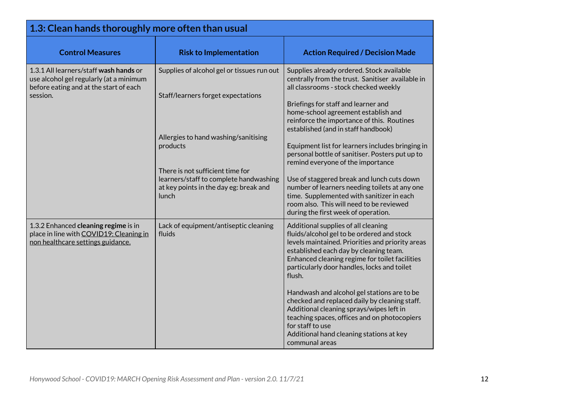<span id="page-12-0"></span>

| 1.3: Clean hands thoroughly more often than usual                                                                                       |                                                                                                                                                                                                                                                                       |                                                                                                                                                                                                                                                                                                                                                                                                                                                                                                                                                                                                                                                                                      |  |
|-----------------------------------------------------------------------------------------------------------------------------------------|-----------------------------------------------------------------------------------------------------------------------------------------------------------------------------------------------------------------------------------------------------------------------|--------------------------------------------------------------------------------------------------------------------------------------------------------------------------------------------------------------------------------------------------------------------------------------------------------------------------------------------------------------------------------------------------------------------------------------------------------------------------------------------------------------------------------------------------------------------------------------------------------------------------------------------------------------------------------------|--|
| <b>Control Measures</b>                                                                                                                 | <b>Risk to Implementation</b>                                                                                                                                                                                                                                         | <b>Action Required / Decision Made</b>                                                                                                                                                                                                                                                                                                                                                                                                                                                                                                                                                                                                                                               |  |
| 1.3.1 All learners/staff wash hands or<br>use alcohol gel regularly (at a minimum<br>before eating and at the start of each<br>session. | Supplies of alcohol gel or tissues run out<br>Staff/learners forget expectations<br>Allergies to hand washing/sanitising<br>products<br>There is not sufficient time for<br>learners/staff to complete handwashing<br>at key points in the day eg: break and<br>lunch | Supplies already ordered. Stock available<br>centrally from the trust. Sanitiser available in<br>all classrooms - stock checked weekly<br>Briefings for staff and learner and<br>home-school agreement establish and<br>reinforce the importance of this. Routines<br>established (and in staff handbook)<br>Equipment list for learners includes bringing in<br>personal bottle of sanitiser. Posters put up to<br>remind everyone of the importance<br>Use of staggered break and lunch cuts down<br>number of learners needing toilets at any one<br>time. Supplemented with sanitizer in each<br>room also. This will need to be reviewed<br>during the first week of operation. |  |
| 1.3.2 Enhanced cleaning regime is in<br>place in line with COVID19: Cleaning in<br>non healthcare settings guidance.                    | Lack of equipment/antiseptic cleaning<br>fluids                                                                                                                                                                                                                       | Additional supplies of all cleaning<br>fluids/alcohol gel to be ordered and stock<br>levels maintained. Priorities and priority areas<br>established each day by cleaning team.<br>Enhanced cleaning regime for toilet facilities<br>particularly door handles, locks and toilet<br>flush.<br>Handwash and alcohol gel stations are to be<br>checked and replaced daily by cleaning staff.<br>Additional cleaning sprays/wipes left in<br>teaching spaces, offices and on photocopiers<br>for staff to use<br>Additional hand cleaning stations at key<br>communal areas                                                                                                             |  |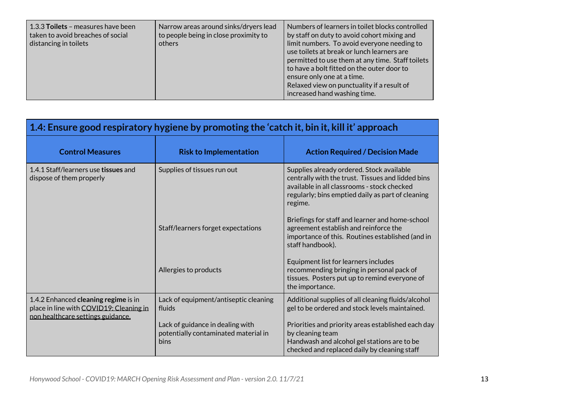| 1.3.3 Toilets - measures have been<br>taken to avoid breaches of social<br>distancing in toilets | Narrow areas around sinks/dryers lead<br>to people being in close proximity to<br>others | Numbers of learners in toilet blocks controlled<br>by staff on duty to avoid cohort mixing and<br>limit numbers. To avoid everyone needing to<br>use toilets at break or lunch learners are<br>permitted to use them at any time. Staff toilets<br>to have a bolt fitted on the outer door to<br>ensure only one at a time.<br>Relaxed view on punctuality if a result of<br>increased hand washing time. |
|--------------------------------------------------------------------------------------------------|------------------------------------------------------------------------------------------|-----------------------------------------------------------------------------------------------------------------------------------------------------------------------------------------------------------------------------------------------------------------------------------------------------------------------------------------------------------------------------------------------------------|
|--------------------------------------------------------------------------------------------------|------------------------------------------------------------------------------------------|-----------------------------------------------------------------------------------------------------------------------------------------------------------------------------------------------------------------------------------------------------------------------------------------------------------------------------------------------------------------------------------------------------------|

<span id="page-13-0"></span>

| 1.4: Ensure good respiratory hygiene by promoting the 'catch it, bin it, kill it' approach                           |                                                                                  |                                                                                                                                                                                                               |  |
|----------------------------------------------------------------------------------------------------------------------|----------------------------------------------------------------------------------|---------------------------------------------------------------------------------------------------------------------------------------------------------------------------------------------------------------|--|
| <b>Control Measures</b>                                                                                              | <b>Risk to Implementation</b>                                                    | <b>Action Required / Decision Made</b>                                                                                                                                                                        |  |
| 1.4.1 Staff/learners use tissues and<br>dispose of them properly                                                     | Supplies of tissues run out                                                      | Supplies already ordered. Stock available<br>centrally with the trust. Tissues and lidded bins<br>available in all classrooms - stock checked<br>regularly; bins emptied daily as part of cleaning<br>regime. |  |
|                                                                                                                      | Staff/learners forget expectations                                               | Briefings for staff and learner and home-school<br>agreement establish and reinforce the<br>importance of this. Routines established (and in<br>staff handbook).                                              |  |
|                                                                                                                      | Allergies to products                                                            | Equipment list for learners includes<br>recommending bringing in personal pack of<br>tissues. Posters put up to remind everyone of<br>the importance.                                                         |  |
| 1.4.2 Enhanced cleaning regime is in<br>place in line with COVID19: Cleaning in<br>non healthcare settings guidance. | Lack of equipment/antiseptic cleaning<br>fluids                                  | Additional supplies of all cleaning fluids/alcohol<br>gel to be ordered and stock levels maintained.                                                                                                          |  |
|                                                                                                                      | Lack of guidance in dealing with<br>potentially contaminated material in<br>bins | Priorities and priority areas established each day<br>by cleaning team<br>Handwash and alcohol gel stations are to be<br>checked and replaced daily by cleaning staff                                         |  |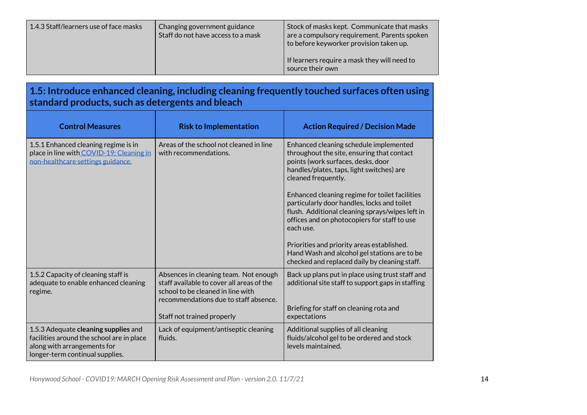| 1.4.3 Staff/learners use of face masks<br>Changing government guidance<br>Staff do not have access to a mask | Stock of masks kept. Communicate that masks<br>are a compulsory requirement. Parents spoken<br>to before keyworker provision taken up.<br>If learners require a mask they will need to<br>source their own |
|--------------------------------------------------------------------------------------------------------------|------------------------------------------------------------------------------------------------------------------------------------------------------------------------------------------------------------|
|--------------------------------------------------------------------------------------------------------------|------------------------------------------------------------------------------------------------------------------------------------------------------------------------------------------------------------|

## <span id="page-14-0"></span>**1.5: Introduce enhanced cleaning, including cleaning frequently touched surfaces often using standard products, such as detergents and bleach**

| <b>Control Measures</b>                                                                                                                             | <b>Risk to Implementation</b>                                                                                                                                                                  | <b>Action Required / Decision Made</b>                                                                                                                                                                                                                                                                                                                                                                                                                                                                                                                         |
|-----------------------------------------------------------------------------------------------------------------------------------------------------|------------------------------------------------------------------------------------------------------------------------------------------------------------------------------------------------|----------------------------------------------------------------------------------------------------------------------------------------------------------------------------------------------------------------------------------------------------------------------------------------------------------------------------------------------------------------------------------------------------------------------------------------------------------------------------------------------------------------------------------------------------------------|
| 1.5.1 Enhanced cleaning regime is in<br>place in line with COVID-19: Cleaning in<br>non-healthcare settings guidance.                               | Areas of the school not cleaned in line<br>with recommendations.                                                                                                                               | Enhanced cleaning schedule implemented<br>throughout the site, ensuring that contact<br>points (work surfaces, desks, door<br>handles/plates, taps, light switches) are<br>cleaned frequently.<br>Enhanced cleaning regime for toilet facilities<br>particularly door handles, locks and toilet<br>flush. Additional cleaning sprays/wipes left in<br>offices and on photocopiers for staff to use<br>each use.<br>Priorities and priority areas established.<br>Hand Wash and alcohol gel stations are to be<br>checked and replaced daily by cleaning staff. |
| 1.5.2 Capacity of cleaning staff is<br>adequate to enable enhanced cleaning<br>regime.                                                              | Absences in cleaning team. Not enough<br>staff available to cover all areas of the<br>school to be cleaned in line with<br>recommendations due to staff absence.<br>Staff not trained properly | Back up plans put in place using trust staff and<br>additional site staff to support gaps in staffing<br>Briefing for staff on cleaning rota and<br>expectations                                                                                                                                                                                                                                                                                                                                                                                               |
| 1.5.3 Adequate cleaning supplies and<br>facilities around the school are in place<br>along with arrangements for<br>longer-term continual supplies. | Lack of equipment/antiseptic cleaning<br>fluids.                                                                                                                                               | Additional supplies of all cleaning<br>fluids/alcohol gel to be ordered and stock<br>levels maintained.                                                                                                                                                                                                                                                                                                                                                                                                                                                        |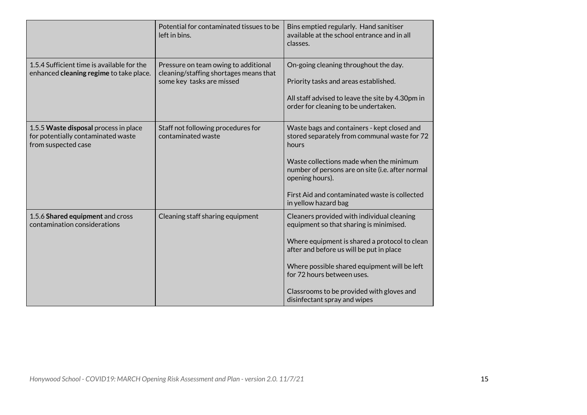|                                                                                                    | Potential for contaminated tissues to be<br>left in bins.                                                   | Bins emptied regularly. Hand sanitiser<br>available at the school entrance and in all<br>classes.                                                                                                                                                                                                                                             |
|----------------------------------------------------------------------------------------------------|-------------------------------------------------------------------------------------------------------------|-----------------------------------------------------------------------------------------------------------------------------------------------------------------------------------------------------------------------------------------------------------------------------------------------------------------------------------------------|
| 1.5.4 Sufficient time is available for the<br>enhanced cleaning regime to take place.              | Pressure on team owing to additional<br>cleaning/staffing shortages means that<br>some key tasks are missed | On-going cleaning throughout the day.<br>Priority tasks and areas established.<br>All staff advised to leave the site by 4.30pm in<br>order for cleaning to be undertaken.                                                                                                                                                                    |
| 1.5.5 Waste disposal process in place<br>for potentially contaminated waste<br>from suspected case | Staff not following procedures for<br>contaminated waste                                                    | Waste bags and containers - kept closed and<br>stored separately from communal waste for 72<br>hours<br>Waste collections made when the minimum<br>number of persons are on site (i.e. after normal<br>opening hours).<br>First Aid and contaminated waste is collected<br>in yellow hazard bag                                               |
| 1.5.6 Shared equipment and cross<br>contamination considerations                                   | Cleaning staff sharing equipment                                                                            | Cleaners provided with individual cleaning<br>equipment so that sharing is minimised.<br>Where equipment is shared a protocol to clean<br>after and before us will be put in place<br>Where possible shared equipment will be left<br>for 72 hours between uses.<br>Classrooms to be provided with gloves and<br>disinfectant spray and wipes |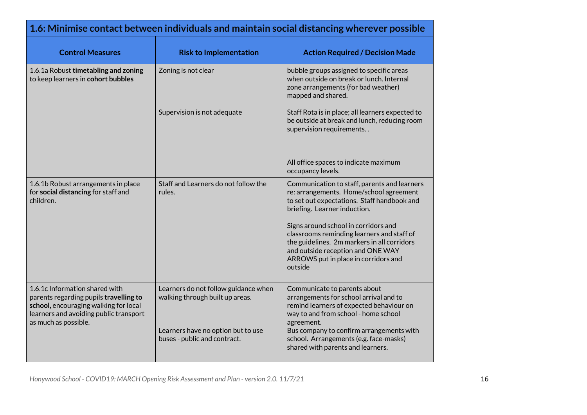<span id="page-16-0"></span>

| 1.6: Minimise contact between individuals and maintain social distancing wherever possible                                                                                          |                                                                         |                                                                                                                                                                                                                           |
|-------------------------------------------------------------------------------------------------------------------------------------------------------------------------------------|-------------------------------------------------------------------------|---------------------------------------------------------------------------------------------------------------------------------------------------------------------------------------------------------------------------|
| <b>Control Measures</b>                                                                                                                                                             | <b>Risk to Implementation</b>                                           | <b>Action Required / Decision Made</b>                                                                                                                                                                                    |
| 1.6.1a Robust timetabling and zoning<br>to keep learners in cohort bubbles                                                                                                          | Zoning is not clear                                                     | bubble groups assigned to specific areas<br>when outside on break or lunch. Internal<br>zone arrangements (for bad weather)<br>mapped and shared.                                                                         |
|                                                                                                                                                                                     | Supervision is not adequate                                             | Staff Rota is in place; all learners expected to<br>be outside at break and lunch, reducing room<br>supervision requirements                                                                                              |
|                                                                                                                                                                                     |                                                                         | All office spaces to indicate maximum<br>occupancy levels.                                                                                                                                                                |
| 1.6.1b Robust arrangements in place<br>for social distancing for staff and<br>children.                                                                                             | Staff and Learners do not follow the<br>rules.                          | Communication to staff, parents and learners<br>re: arrangements. Home/school agreement<br>to set out expectations. Staff handbook and<br>briefing. Learner induction.                                                    |
|                                                                                                                                                                                     |                                                                         | Signs around school in corridors and<br>classrooms reminding learners and staff of<br>the guidelines. 2m markers in all corridors<br>and outside reception and ONE WAY<br>ARROWS put in place in corridors and<br>outside |
| 1.6.1c Information shared with<br>parents regarding pupils travelling to<br>school, encouraging walking for local<br>learners and avoiding public transport<br>as much as possible. | Learners do not follow guidance when<br>walking through built up areas. | Communicate to parents about<br>arrangements for school arrival and to<br>remind learners of expected behaviour on<br>way to and from school - home school<br>agreement.                                                  |
|                                                                                                                                                                                     | Learners have no option but to use<br>buses - public and contract.      | Bus company to confirm arrangements with<br>school. Arrangements (e.g. face-masks)<br>shared with parents and learners.                                                                                                   |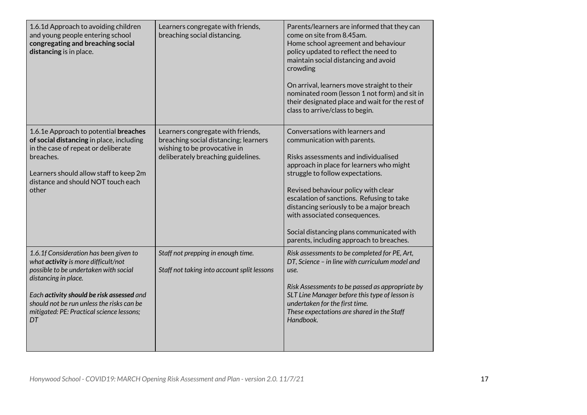| 1.6.1d Approach to avoiding children<br>and young people entering school<br>congregating and breaching social<br>distancing is in place.                                                                                                                                                    | Learners congregate with friends,<br>breaching social distancing.                                                                                | Parents/learners are informed that they can<br>come on site from 8.45am.<br>Home school agreement and behaviour<br>policy updated to reflect the need to<br>maintain social distancing and avoid<br>crowding<br>On arrival, learners move straight to their<br>nominated room (lesson 1 not form) and sit in<br>their designated place and wait for the rest of<br>class to arrive/class to begin.                                                |
|---------------------------------------------------------------------------------------------------------------------------------------------------------------------------------------------------------------------------------------------------------------------------------------------|--------------------------------------------------------------------------------------------------------------------------------------------------|---------------------------------------------------------------------------------------------------------------------------------------------------------------------------------------------------------------------------------------------------------------------------------------------------------------------------------------------------------------------------------------------------------------------------------------------------|
| 1.6.1e Approach to potential breaches<br>of social distancing in place, including<br>in the case of repeat or deliberate<br>breaches.<br>Learners should allow staff to keep 2m<br>distance and should NOT touch each<br>other                                                              | Learners congregate with friends,<br>breaching social distancing; learners<br>wishing to be provocative in<br>deliberately breaching guidelines. | Conversations with learners and<br>communication with parents.<br>Risks assessments and individualised<br>approach in place for learners who might<br>struggle to follow expectations.<br>Revised behaviour policy with clear<br>escalation of sanctions. Refusing to take<br>distancing seriously to be a major breach<br>with associated consequences.<br>Social distancing plans communicated with<br>parents, including approach to breaches. |
| 1.6.1f Consideration has been given to<br>what activity is more difficult/not<br>possible to be undertaken with social<br>distancing in place.<br>Each activity should be risk assessed and<br>should not be run unless the risks can be<br>mitigated: PE: Practical science lessons;<br>DT | Staff not prepping in enough time.<br>Staff not taking into account split lessons                                                                | Risk assessments to be completed for PE, Art,<br>DT, Science - in line with curriculum model and<br>use.<br>Risk Assessments to be passed as appropriate by<br>SLT Line Manager before this type of lesson is<br>undertaken for the first time.<br>These expectations are shared in the Staff<br>Handbook.                                                                                                                                        |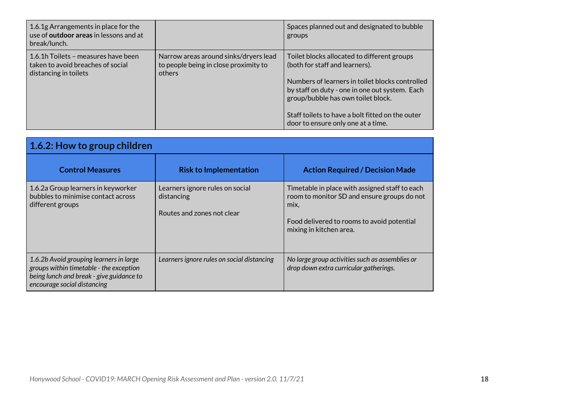| 1.6.1g Arrangements in place for the<br>use of <b>outdoor areas</b> in lessons and at<br>break/lunch. |                                                                                          | Spaces planned out and designated to bubble<br>groups                                                                                                                                                                                                                                                              |
|-------------------------------------------------------------------------------------------------------|------------------------------------------------------------------------------------------|--------------------------------------------------------------------------------------------------------------------------------------------------------------------------------------------------------------------------------------------------------------------------------------------------------------------|
| 1.6.1h Toilets – measures have been<br>taken to avoid breaches of social<br>distancing in toilets     | Narrow areas around sinks/dryers lead<br>to people being in close proximity to<br>others | Toilet blocks allocated to different groups<br>(both for staff and learners).<br>Numbers of learners in toilet blocks controlled<br>by staff on duty - one in one out system. Each<br>group/bubble has own toilet block.<br>Staff toilets to have a bolt fitted on the outer<br>door to ensure only one at a time. |

<span id="page-18-0"></span>

| 1.6.2: How to group children                                                                                                                                  |                                                                             |                                                                                                                                                                                |
|---------------------------------------------------------------------------------------------------------------------------------------------------------------|-----------------------------------------------------------------------------|--------------------------------------------------------------------------------------------------------------------------------------------------------------------------------|
| <b>Control Measures</b>                                                                                                                                       | <b>Risk to Implementation</b>                                               | <b>Action Required / Decision Made</b>                                                                                                                                         |
| 1.6.2a Group learners in keyworker<br>bubbles to minimise contact across<br>different groups                                                                  | Learners ignore rules on social<br>distancing<br>Routes and zones not clear | Timetable in place with assigned staff to each<br>room to monitor SD and ensure groups do not<br>mix,<br>Food delivered to rooms to avoid potential<br>mixing in kitchen area. |
| 1.6.2b Avoid grouping learners in large<br>groups within timetable - the exception<br>being lunch and break - give guidance to<br>encourage social distancing | Learners ignore rules on social distancing                                  | No large group activities such as assemblies or<br>drop down extra curricular gatherings.                                                                                      |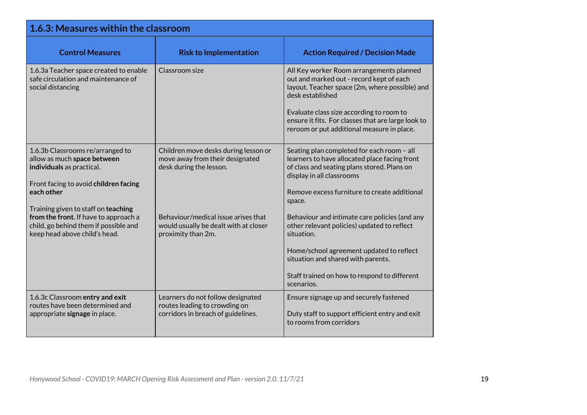<span id="page-19-0"></span>

| 1.6.3: Measures within the classroom                                                                                                                                                       |                                                                                                          |                                                                                                                                                                                                                                                                                                            |
|--------------------------------------------------------------------------------------------------------------------------------------------------------------------------------------------|----------------------------------------------------------------------------------------------------------|------------------------------------------------------------------------------------------------------------------------------------------------------------------------------------------------------------------------------------------------------------------------------------------------------------|
| <b>Control Measures</b>                                                                                                                                                                    | <b>Risk to Implementation</b>                                                                            | <b>Action Required / Decision Made</b>                                                                                                                                                                                                                                                                     |
| 1.6.3a Teacher space created to enable<br>safe circulation and maintenance of<br>social distancing                                                                                         | Classroom size                                                                                           | All Key worker Room arrangements planned<br>out and marked out - record kept of each<br>layout. Teacher space (2m, where possible) and<br>desk established<br>Evaluate class size according to room to<br>ensure it fits. For classes that are large look to<br>reroom or put additional measure in place. |
| 1.6.3b Classrooms re/arranged to<br>allow as much space between<br>individuals as practical.<br>Front facing to avoid children facing<br>each other<br>Training given to staff on teaching | Children move desks during lesson or<br>move away from their designated<br>desk during the lesson.       | Seating plan completed for each room - all<br>learners to have allocated place facing front<br>of class and seating plans stored. Plans on<br>display in all classrooms<br>Remove excess furniture to create additional<br>space.                                                                          |
| from the front. If have to approach a<br>child, go behind them if possible and<br>keep head above child's head.                                                                            | Behaviour/medical issue arises that<br>would usually be dealt with at closer<br>proximity than 2m.       | Behaviour and intimate care policies (and any<br>other relevant policies) updated to reflect<br>situation.<br>Home/school agreement updated to reflect<br>situation and shared with parents.<br>Staff trained on how to respond to different<br>scenarios.                                                 |
| 1.6.3c Classroom entry and exit<br>routes have been determined and<br>appropriate signage in place.                                                                                        | Learners do not follow designated<br>routes leading to crowding on<br>corridors in breach of guidelines. | Ensure signage up and securely fastened<br>Duty staff to support efficient entry and exit<br>to rooms from corridors                                                                                                                                                                                       |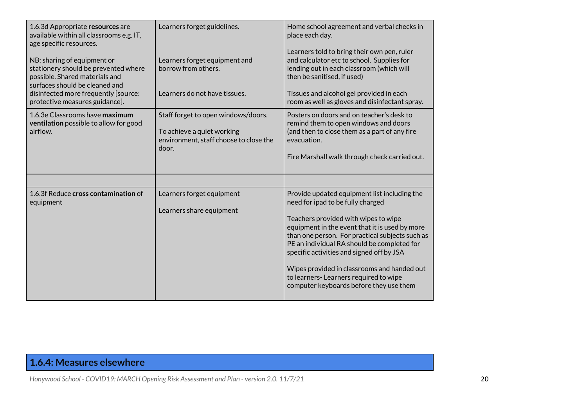| 1.6.3d Appropriate resources are<br>available within all classrooms e.g. IT,<br>age specific resources.                                 | Learners forget guidelines.                                                                                          | Home school agreement and verbal checks in<br>place each day.                                                                                                                                                                                                                                                                                                                                                                                                 |
|-----------------------------------------------------------------------------------------------------------------------------------------|----------------------------------------------------------------------------------------------------------------------|---------------------------------------------------------------------------------------------------------------------------------------------------------------------------------------------------------------------------------------------------------------------------------------------------------------------------------------------------------------------------------------------------------------------------------------------------------------|
| NB: sharing of equipment or<br>stationery should be prevented where<br>possible. Shared materials and<br>surfaces should be cleaned and | Learners forget equipment and<br>borrow from others.                                                                 | Learners told to bring their own pen, ruler<br>and calculator etc to school. Supplies for<br>lending out in each classroom (which will<br>then be sanitised, if used)                                                                                                                                                                                                                                                                                         |
| disinfected more frequently [source:<br>protective measures guidance].                                                                  | Learners do not have tissues.                                                                                        | Tissues and alcohol gel provided in each<br>room as well as gloves and disinfectant spray.                                                                                                                                                                                                                                                                                                                                                                    |
| 1.6.3e Classrooms have maximum<br>ventilation possible to allow for good<br>airflow.                                                    | Staff forget to open windows/doors.<br>To achieve a quiet working<br>environment, staff choose to close the<br>door. | Posters on doors and on teacher's desk to<br>remind them to open windows and doors<br>(and then to close them as a part of any fire<br>evacuation.<br>Fire Marshall walk through check carried out.                                                                                                                                                                                                                                                           |
|                                                                                                                                         |                                                                                                                      |                                                                                                                                                                                                                                                                                                                                                                                                                                                               |
| 1.6.3f Reduce cross contamination of<br>equipment                                                                                       | Learners forget equipment<br>Learners share equipment                                                                | Provide updated equipment list including the<br>need for ipad to be fully charged<br>Teachers provided with wipes to wipe<br>equipment in the event that it is used by more<br>than one person. For practical subjects such as<br>PE an individual RA should be completed for<br>specific activities and signed off by JSA<br>Wipes provided in classrooms and handed out<br>to learners-Learners required to wipe<br>computer keyboards before they use them |

## <span id="page-20-0"></span>**1.6.4: Measures elsewhere**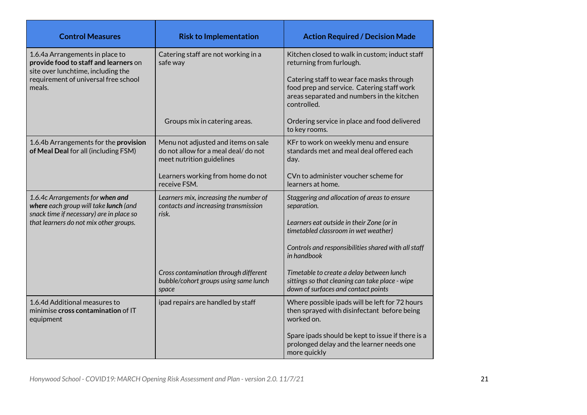| <b>Control Measures</b>                                                                                                                                          | <b>Risk to Implementation</b>                                                                           | <b>Action Required / Decision Made</b>                                                                                                                                |
|------------------------------------------------------------------------------------------------------------------------------------------------------------------|---------------------------------------------------------------------------------------------------------|-----------------------------------------------------------------------------------------------------------------------------------------------------------------------|
| 1.6.4a Arrangements in place to<br>provide food to staff and learners on<br>site over lunchtime, including the<br>requirement of universal free school<br>meals. | Catering staff are not working in a<br>safe way                                                         | Kitchen closed to walk in custom; induct staff<br>returning from furlough.<br>Catering staff to wear face masks through<br>food prep and service. Catering staff work |
|                                                                                                                                                                  |                                                                                                         | areas separated and numbers in the kitchen<br>controlled.                                                                                                             |
|                                                                                                                                                                  | Groups mix in catering areas.                                                                           | Ordering service in place and food delivered<br>to key rooms.                                                                                                         |
| 1.6.4b Arrangements for the provision<br>of Meal Deal for all (including FSM)                                                                                    | Menu not adjusted and items on sale<br>do not allow for a meal deal/do not<br>meet nutrition guidelines | KFr to work on weekly menu and ensure<br>standards met and meal deal offered each<br>day.                                                                             |
|                                                                                                                                                                  | Learners working from home do not<br>receive FSM.                                                       | CVn to administer voucher scheme for<br>learners at home.                                                                                                             |
| 1.6.4c Arrangements for when and<br>where each group will take lunch (and<br>snack time if necessary) are in place so                                            | Learners mix, increasing the number of<br>contacts and increasing transmission<br>risk.                 | Staggering and allocation of areas to ensure<br>separation.                                                                                                           |
| that learners do not mix other groups.                                                                                                                           |                                                                                                         | Learners eat outside in their Zone (or in<br>timetabled classroom in wet weather)                                                                                     |
|                                                                                                                                                                  |                                                                                                         | Controls and responsibilities shared with all staff<br>in handbook                                                                                                    |
|                                                                                                                                                                  | Cross contamination through different<br>bubble/cohort groups using same lunch<br>space                 | Timetable to create a delay between lunch<br>sittings so that cleaning can take place - wipe<br>down of surfaces and contact points                                   |
| 1.6.4d Additional measures to<br>minimise cross contamination of IT<br>equipment                                                                                 | ipad repairs are handled by staff                                                                       | Where possible ipads will be left for 72 hours<br>then sprayed with disinfectant before being<br>worked on.                                                           |
|                                                                                                                                                                  |                                                                                                         | Spare ipads should be kept to issue if there is a<br>prolonged delay and the learner needs one<br>more quickly                                                        |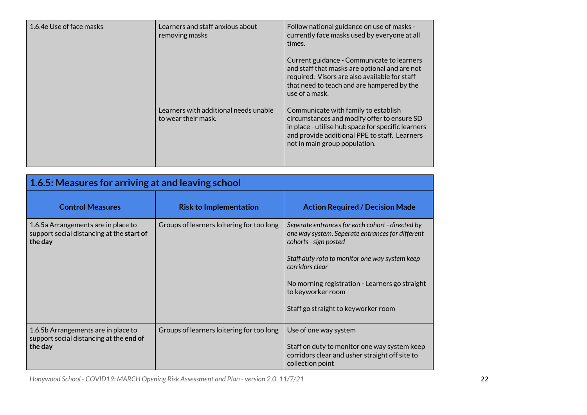| 1.6.4e Use of face masks | Learners and staff anxious about<br>removing masks           | Follow national guidance on use of masks -<br>currently face masks used by everyone at all<br>times.                                                                                                                        |
|--------------------------|--------------------------------------------------------------|-----------------------------------------------------------------------------------------------------------------------------------------------------------------------------------------------------------------------------|
|                          |                                                              | Current guidance - Communicate to learners<br>and staff that masks are optional and are not<br>required. Visors are also available for staff<br>that need to teach and are hampered by the<br>use of a mask.                |
|                          | Learners with additional needs unable<br>to wear their mask. | Communicate with family to establish<br>circumstances and modify offer to ensure SD<br>in place - utilise hub space for specific learners<br>and provide additional PPE to staff. Learners<br>not in main group population. |

<span id="page-22-0"></span>

| 1.6.5: Measures for arriving at and leaving school                                           |                                           |                                                                                                                                                                                                                                                                                                                  |
|----------------------------------------------------------------------------------------------|-------------------------------------------|------------------------------------------------------------------------------------------------------------------------------------------------------------------------------------------------------------------------------------------------------------------------------------------------------------------|
| <b>Control Measures</b>                                                                      | <b>Risk to Implementation</b>             | <b>Action Required / Decision Made</b>                                                                                                                                                                                                                                                                           |
| 1.6.5 a Arrangements are in place to<br>support social distancing at the start of<br>the day | Groups of learners loitering for too long | Seperate entrances for each cohort - directed by<br>one way system. Seperate entrances for different<br>cohorts - sign posted<br>Staff duty rota to monitor one way system keep<br>corridors clear<br>No morning registration - Learners go straight<br>to keyworker room<br>Staff go straight to keyworker room |
| 1.6.5b Arrangements are in place to<br>support social distancing at the end of<br>the day    | Groups of learners loitering for too long | Use of one way system<br>Staff on duty to monitor one way system keep<br>corridors clear and usher straight off site to<br>collection point                                                                                                                                                                      |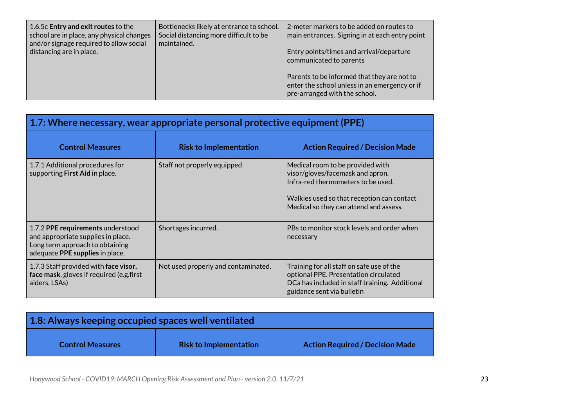| 1.6.5c Entry and exit routes to the       | 2-meter markers to be added on routes to       |
|-------------------------------------------|------------------------------------------------|
| Bottlenecks likely at entrance to school. | main entrances. Signing in at each entry point |
| school are in place, any physical changes | Entry points/times and arrival/departure       |
| Social distancing more difficult to be    | communicated to parents                        |
| and/or signage required to allow social   | Parents to be informed that they are not to    |
| maintained.                               | enter the school unless in an emergency or if  |
| distancing are in place.                  | pre-arranged with the school.                  |

<span id="page-23-0"></span>

| 1.7: Where necessary, wear appropriate personal protective equipment (PPE)                                                                    |                                     |                                                                                                                                                                                                    |
|-----------------------------------------------------------------------------------------------------------------------------------------------|-------------------------------------|----------------------------------------------------------------------------------------------------------------------------------------------------------------------------------------------------|
| <b>Control Measures</b>                                                                                                                       | <b>Risk to Implementation</b>       | <b>Action Required / Decision Made</b>                                                                                                                                                             |
| 1.7.1 Additional procedures for<br>supporting First Aid in place.                                                                             | Staff not properly equipped         | Medical room to be provided with<br>visor/gloves/facemask and apron.<br>Infra-red thermometers to be used.<br>Walkies used so that reception can contact<br>Medical so they can attend and assess. |
| 1.7.2 PPE requirements understood<br>and appropriate supplies in place.<br>Long term approach to obtaining<br>adequate PPE supplies in place. | Shortages incurred.                 | PBs to monitor stock levels and order when<br>necessary                                                                                                                                            |
| 1.7.3 Staff provided with face visor,<br>face mask, gloves if required (e.g.first<br>aiders, LSAs)                                            | Not used properly and contaminated. | Training for all staff on safe use of the<br>optional PPE. Presentation circulated<br>DCa has included in staff training. Additional<br>guidance sent via bulletin                                 |

<span id="page-23-1"></span>

| 1.8: Always keeping occupied spaces well ventilated |                               |                                        |
|-----------------------------------------------------|-------------------------------|----------------------------------------|
| <b>Control Measures</b>                             | <b>Risk to Implementation</b> | <b>Action Required / Decision Made</b> |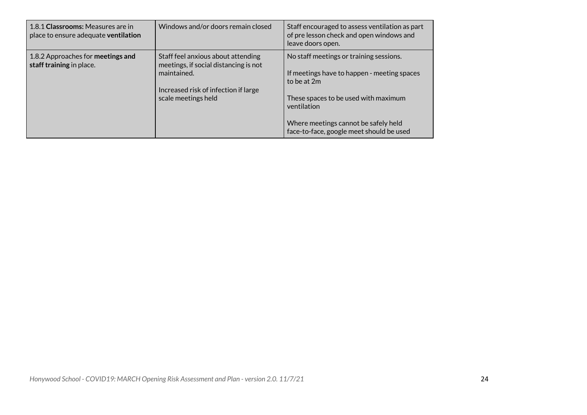| 1.8.1 Classrooms: Measures are in<br>place to ensure adequate ventilation | Windows and/or doors remain closed                                                                                                                        | Staff encouraged to assess ventilation as part<br>of pre lesson check and open windows and<br>leave doors open.                                                                                                                                  |
|---------------------------------------------------------------------------|-----------------------------------------------------------------------------------------------------------------------------------------------------------|--------------------------------------------------------------------------------------------------------------------------------------------------------------------------------------------------------------------------------------------------|
| 1.8.2 Approaches for meetings and<br>staff training in place.             | Staff feel anxious about attending<br>meetings, if social distancing is not<br>maintained.<br>Increased risk of infection if large<br>scale meetings held | No staff meetings or training sessions.<br>If meetings have to happen - meeting spaces<br>to be at 2m<br>These spaces to be used with maximum<br>ventilation<br>Where meetings cannot be safely held<br>face-to-face, google meet should be used |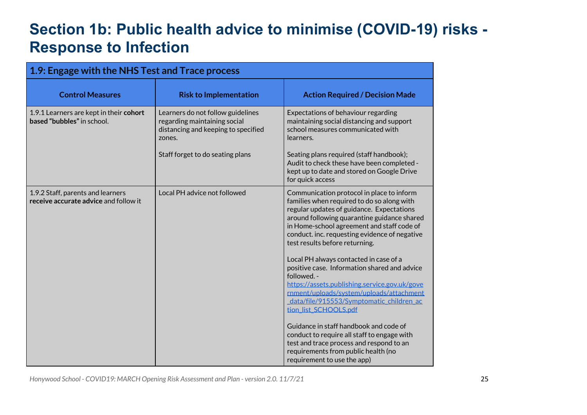# **Section 1b: Public health advice to minimise (COVID-19) risks - Response to Infection**

<span id="page-25-0"></span>

| 1.9: Engage with the NHS Test and Trace process                            |                                                                                                                    |                                                                                                                                                                                                                                                                                                                                                                                                                                                                                                                                                                                                                                           |
|----------------------------------------------------------------------------|--------------------------------------------------------------------------------------------------------------------|-------------------------------------------------------------------------------------------------------------------------------------------------------------------------------------------------------------------------------------------------------------------------------------------------------------------------------------------------------------------------------------------------------------------------------------------------------------------------------------------------------------------------------------------------------------------------------------------------------------------------------------------|
| <b>Control Measures</b>                                                    | <b>Risk to Implementation</b>                                                                                      | <b>Action Required / Decision Made</b>                                                                                                                                                                                                                                                                                                                                                                                                                                                                                                                                                                                                    |
| 1.9.1 Learners are kept in their cohort<br>based "bubbles" in school.      | Learners do not follow guidelines<br>regarding maintaining social<br>distancing and keeping to specified<br>zones. | Expectations of behaviour regarding<br>maintaining social distancing and support<br>school measures communicated with<br>learners.                                                                                                                                                                                                                                                                                                                                                                                                                                                                                                        |
|                                                                            | Staff forget to do seating plans                                                                                   | Seating plans required (staff handbook);<br>Audit to check these have been completed -<br>kept up to date and stored on Google Drive<br>for quick access                                                                                                                                                                                                                                                                                                                                                                                                                                                                                  |
| 1.9.2 Staff, parents and learners<br>receive accurate advice and follow it | Local PH advice not followed                                                                                       | Communication protocol in place to inform<br>families when required to do so along with<br>regular updates of guidance. Expectations<br>around following quarantine guidance shared<br>in Home-school agreement and staff code of<br>conduct. inc. requesting evidence of negative<br>test results before returning.<br>Local PH always contacted in case of a<br>positive case. Information shared and advice<br>followed. -<br>https://assets.publishing.service.gov.uk/gove<br>rnment/uploads/system/uploads/attachment<br>data/file/915553/Symptomatic children ac<br>tion_list_SCHOOLS.pdf<br>Guidance in staff handbook and code of |
|                                                                            |                                                                                                                    | conduct to require all staff to engage with<br>test and trace process and respond to an<br>requirements from public health (no<br>requirement to use the app)                                                                                                                                                                                                                                                                                                                                                                                                                                                                             |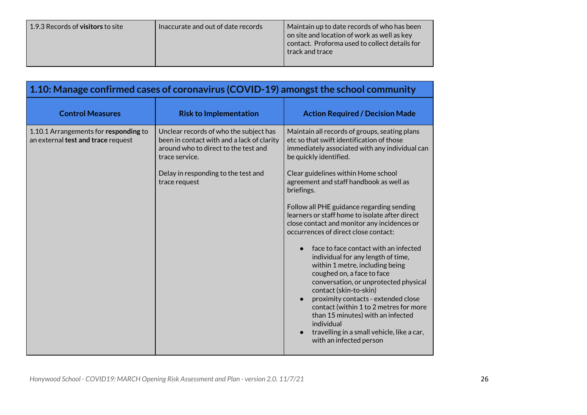| 1.9.3 Records of <b>visitors</b> to site | Inaccurate and out of date records | Maintain up to date records of who has been<br>on site and location of work as well as key<br>contact. Proforma used to collect details for<br>track and trace |
|------------------------------------------|------------------------------------|----------------------------------------------------------------------------------------------------------------------------------------------------------------|
|------------------------------------------|------------------------------------|----------------------------------------------------------------------------------------------------------------------------------------------------------------|

<span id="page-26-0"></span>

| 1.10: Manage confirmed cases of coronavirus (COVID-19) amongst the school community |                                                                                                                                                                                                        |                                                                                                                                                                                                                                                                                                                                                                                                                                                                                                                                                                                                                                                                                                                                                                                                                    |
|-------------------------------------------------------------------------------------|--------------------------------------------------------------------------------------------------------------------------------------------------------------------------------------------------------|--------------------------------------------------------------------------------------------------------------------------------------------------------------------------------------------------------------------------------------------------------------------------------------------------------------------------------------------------------------------------------------------------------------------------------------------------------------------------------------------------------------------------------------------------------------------------------------------------------------------------------------------------------------------------------------------------------------------------------------------------------------------------------------------------------------------|
| <b>Control Measures</b>                                                             | <b>Risk to Implementation</b>                                                                                                                                                                          | <b>Action Required / Decision Made</b>                                                                                                                                                                                                                                                                                                                                                                                                                                                                                                                                                                                                                                                                                                                                                                             |
| 1.10.1 Arrangements for responding to<br>an external test and trace request         | Unclear records of who the subject has<br>been in contact with and a lack of clarity<br>around who to direct to the test and<br>trace service.<br>Delay in responding to the test and<br>trace request | Maintain all records of groups, seating plans<br>etc so that swift identification of those<br>immediately associated with any individual can<br>be quickly identified.<br>Clear guidelines within Home school<br>agreement and staff handbook as well as<br>briefings.<br>Follow all PHE guidance regarding sending<br>learners or staff home to isolate after direct<br>close contact and monitor any incidences or<br>occurrences of direct close contact:<br>face to face contact with an infected<br>individual for any length of time,<br>within 1 metre, including being<br>coughed on, a face to face<br>conversation, or unprotected physical<br>contact (skin-to-skin)<br>proximity contacts - extended close<br>$\bullet$<br>contact (within 1 to 2 metres for more<br>than 15 minutes) with an infected |
|                                                                                     |                                                                                                                                                                                                        | individual<br>travelling in a small vehicle, like a car,<br>with an infected person                                                                                                                                                                                                                                                                                                                                                                                                                                                                                                                                                                                                                                                                                                                                |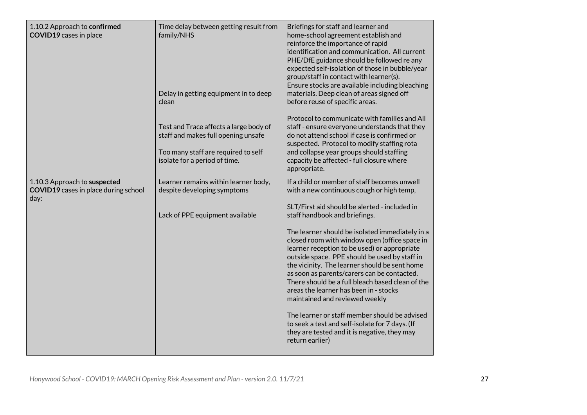| 1.10.2 Approach to confirmed<br><b>COVID19</b> cases in place                       | Time delay between getting result from<br>family/NHS                                                                                                  | Briefings for staff and learner and<br>home-school agreement establish and<br>reinforce the importance of rapid<br>identification and communication. All current<br>PHE/DfE guidance should be followed re any<br>expected self-isolation of those in bubble/year<br>group/staff in contact with learner(s).<br>Ensure stocks are available including bleaching                                                                                                                                                                                                                                          |
|-------------------------------------------------------------------------------------|-------------------------------------------------------------------------------------------------------------------------------------------------------|----------------------------------------------------------------------------------------------------------------------------------------------------------------------------------------------------------------------------------------------------------------------------------------------------------------------------------------------------------------------------------------------------------------------------------------------------------------------------------------------------------------------------------------------------------------------------------------------------------|
|                                                                                     | Delay in getting equipment in to deep<br>clean                                                                                                        | materials. Deep clean of areas signed off<br>before reuse of specific areas.                                                                                                                                                                                                                                                                                                                                                                                                                                                                                                                             |
|                                                                                     | Test and Trace affects a large body of<br>staff and makes full opening unsafe<br>Too many staff are required to self<br>isolate for a period of time. | Protocol to communicate with families and All<br>staff - ensure everyone understands that they<br>do not attend school if case is confirmed or<br>suspected. Protocol to modify staffing rota<br>and collapse year groups should staffing<br>capacity be affected - full closure where<br>appropriate.                                                                                                                                                                                                                                                                                                   |
| 1.10.3 Approach to suspected<br><b>COVID19</b> cases in place during school<br>day: | Learner remains within learner body,<br>despite developing symptoms                                                                                   | If a child or member of staff becomes unwell<br>with a new continuous cough or high temp,                                                                                                                                                                                                                                                                                                                                                                                                                                                                                                                |
|                                                                                     | Lack of PPE equipment available                                                                                                                       | SLT/First aid should be alerted - included in<br>staff handbook and briefings.                                                                                                                                                                                                                                                                                                                                                                                                                                                                                                                           |
|                                                                                     |                                                                                                                                                       | The learner should be isolated immediately in a<br>closed room with window open (office space in<br>learner reception to be used) or appropriate<br>outside space. PPE should be used by staff in<br>the vicinity. The learner should be sent home<br>as soon as parents/carers can be contacted.<br>There should be a full bleach based clean of the<br>areas the learner has been in - stocks<br>maintained and reviewed weekly<br>The learner or staff member should be advised<br>to seek a test and self-isolate for 7 days. (If<br>they are tested and it is negative, they may<br>return earlier) |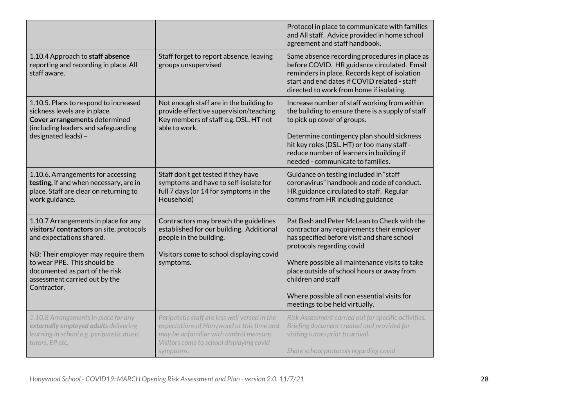|                                                                                                                                                                                                                                                                     |                                                                                                                                                                                                | Protocol in place to communicate with families<br>and All staff. Advice provided in home school<br>agreement and staff handbook.                                                                                                                                                                                                                                            |
|---------------------------------------------------------------------------------------------------------------------------------------------------------------------------------------------------------------------------------------------------------------------|------------------------------------------------------------------------------------------------------------------------------------------------------------------------------------------------|-----------------------------------------------------------------------------------------------------------------------------------------------------------------------------------------------------------------------------------------------------------------------------------------------------------------------------------------------------------------------------|
| 1.10.4 Approach to staff absence<br>reporting and recording in place. All<br>staff aware.                                                                                                                                                                           | Staff forget to report absence, leaving<br>groups unsupervised                                                                                                                                 | Same absence recording procedures in place as<br>before COVID. HR guidance circulated. Email<br>reminders in place. Records kept of isolation<br>start and end dates if COVID related - staff<br>directed to work from home if isolating.                                                                                                                                   |
| 1.10.5. Plans to respond to increased<br>sickness levels are in place.<br>Cover arrangements determined<br>(including leaders and safeguarding<br>designated leads) -                                                                                               | Not enough staff are in the building to<br>provide effective supervision/teaching.<br>Key members of staff e.g. DSL, HT not<br>able to work.                                                   | Increase number of staff working from within<br>the building to ensure there is a supply of staff<br>to pick up cover of groups.<br>Determine contingency plan should sickness<br>hit key roles (DSL. HT) or too many staff -<br>reduce number of learners in building if<br>needed - communicate to families.                                                              |
| 1.10.6. Arrangements for accessing<br>testing, if and when necessary, are in<br>place. Staff are clear on returning to<br>work guidance.                                                                                                                            | Staff don't get tested if they have<br>symptoms and have to self-isolate for<br>full 7 days (or 14 for symptoms in the<br>Household)                                                           | Guidance on testing included in "staff<br>coronavirus" handbook and code of conduct.<br>HR guidance circulated to staff. Regular<br>comms from HR including guidance                                                                                                                                                                                                        |
| 1.10.7 Arrangements in place for any<br>visitors/contractors on site, protocols<br>and expectations shared.<br>NB: Their employer may require them<br>to wear PPE. This should be<br>documented as part of the risk<br>assessment carried out by the<br>Contractor. | Contractors may breach the guidelines<br>established for our building. Additional<br>people in the building.<br>Visitors come to school displaying covid<br>symptoms.                          | Pat Bash and Peter McLean to Check with the<br>contractor any requirements their employer<br>has specified before visit and share school<br>protocols regarding covid<br>Where possible all maintenance visits to take<br>place outside of school hours or away from<br>children and staff<br>Where possible all non essential visits for<br>meetings to be held virtually. |
| 1.10.8 Arrangements in place for any<br>externally employed adults delivering<br>learning in school e.g. peripatetic music<br>tutors, EP etc.                                                                                                                       | Peripatetic staff are less well versed in the<br>expectations of Honywood at this time and<br>may be unfamiliar with control measure.<br>Visitors come to school displaying covid<br>symptoms. | Risk Assessment carried out for specific activities.<br>Briefing document created and provided for<br>visiting tutors prior to arrival.<br>Share school protocols regarding covid                                                                                                                                                                                           |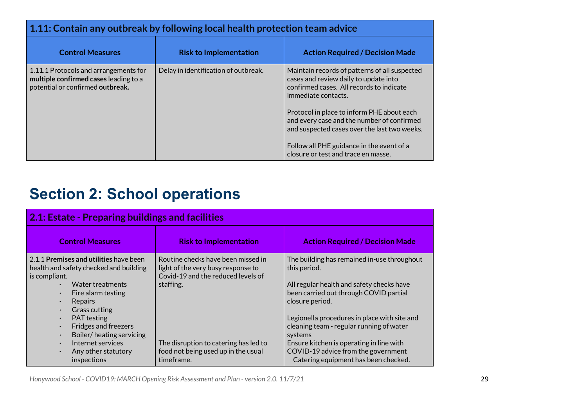<span id="page-29-0"></span>

| 1.11: Contain any outbreak by following local health protection team advice                                        |                                      |                                                                                                                                                                                                                                                                                                                                                                                           |
|--------------------------------------------------------------------------------------------------------------------|--------------------------------------|-------------------------------------------------------------------------------------------------------------------------------------------------------------------------------------------------------------------------------------------------------------------------------------------------------------------------------------------------------------------------------------------|
| <b>Control Measures</b>                                                                                            | <b>Risk to Implementation</b>        | <b>Action Required / Decision Made</b>                                                                                                                                                                                                                                                                                                                                                    |
| 1.11.1 Protocols and arrangements for<br>multiple confirmed cases leading to a<br>potential or confirmed outbreak. | Delay in identification of outbreak. | Maintain records of patterns of all suspected<br>cases and review daily to update into<br>confirmed cases. All records to indicate<br>immediate contacts.<br>Protocol in place to inform PHE about each<br>and every case and the number of confirmed<br>and suspected cases over the last two weeks.<br>Follow all PHE guidance in the event of a<br>closure or test and trace en masse. |

# <span id="page-29-1"></span>**Section 2: School operations**

<span id="page-29-2"></span>

| 2.1: Estate - Preparing buildings and facilities                                                                                                                                                                                                                                                                                                    |                                                                                                                             |                                                                                                                                                                                                                                                                              |
|-----------------------------------------------------------------------------------------------------------------------------------------------------------------------------------------------------------------------------------------------------------------------------------------------------------------------------------------------------|-----------------------------------------------------------------------------------------------------------------------------|------------------------------------------------------------------------------------------------------------------------------------------------------------------------------------------------------------------------------------------------------------------------------|
| <b>Control Measures</b>                                                                                                                                                                                                                                                                                                                             | <b>Risk to Implementation</b>                                                                                               | <b>Action Required / Decision Made</b>                                                                                                                                                                                                                                       |
| 2.1.1 Premises and utilities have been<br>health and safety checked and building<br>is compliant.<br>Water treatments<br>$\bullet$<br>Fire alarm testing<br>$\bullet$<br>Repairs<br>$\bullet$<br>Grass cutting<br>$\bullet$<br><b>PAT</b> testing<br>$\bullet$<br><b>Fridges and freezers</b><br>$\bullet$<br>Boiler/heating servicing<br>$\bullet$ | Routine checks have been missed in<br>light of the very busy response to<br>Covid-19 and the reduced levels of<br>staffing. | The building has remained in-use throughout<br>this period.<br>All regular health and safety checks have<br>been carried out through COVID partial<br>closure period.<br>Legionella procedures in place with site and<br>cleaning team - regular running of water<br>systems |
| Internet services<br>$\bullet$<br>Any other statutory<br>$\bullet$<br>inspections                                                                                                                                                                                                                                                                   | The disruption to catering has led to<br>food not being used up in the usual<br>timeframe.                                  | Ensure kitchen is operating in line with<br>COVID-19 advice from the government<br>Catering equipment has been checked.                                                                                                                                                      |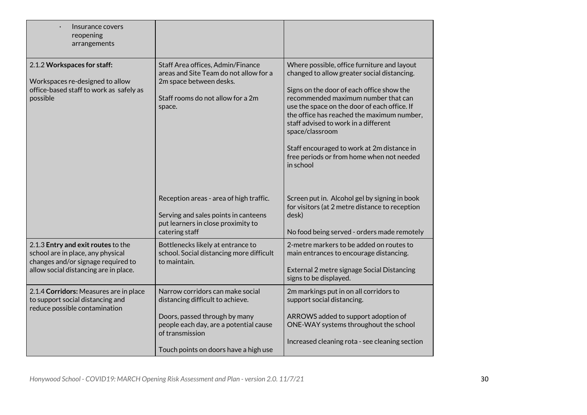| Insurance covers<br>reopening<br>arrangements                                                                                                          |                                                                                                                                                                                                             |                                                                                                                                                                                                                                                                                                                                                                                                                                                 |
|--------------------------------------------------------------------------------------------------------------------------------------------------------|-------------------------------------------------------------------------------------------------------------------------------------------------------------------------------------------------------------|-------------------------------------------------------------------------------------------------------------------------------------------------------------------------------------------------------------------------------------------------------------------------------------------------------------------------------------------------------------------------------------------------------------------------------------------------|
| 2.1.2 Workspaces for staff:<br>Workspaces re-designed to allow<br>office-based staff to work as safely as<br>possible                                  | Staff Area offices, Admin/Finance<br>areas and Site Team do not allow for a<br>2m space between desks.<br>Staff rooms do not allow for a 2m<br>space.                                                       | Where possible, office furniture and layout<br>changed to allow greater social distancing.<br>Signs on the door of each office show the<br>recommended maximum number that can<br>use the space on the door of each office. If<br>the office has reached the maximum number,<br>staff advised to work in a different<br>space/classroom<br>Staff encouraged to work at 2m distance in<br>free periods or from home when not needed<br>in school |
|                                                                                                                                                        | Reception areas - area of high traffic.<br>Serving and sales points in canteens<br>put learners in close proximity to<br>catering staff                                                                     | Screen put in. Alcohol gel by signing in book<br>for visitors (at 2 metre distance to reception<br>desk)<br>No food being served - orders made remotely                                                                                                                                                                                                                                                                                         |
| 2.1.3 Entry and exit routes to the<br>school are in place, any physical<br>changes and/or signage required to<br>allow social distancing are in place. | Bottlenecks likely at entrance to<br>school. Social distancing more difficult<br>to maintain.                                                                                                               | 2-metre markers to be added on routes to<br>main entrances to encourage distancing.<br>External 2 metre signage Social Distancing<br>signs to be displayed.                                                                                                                                                                                                                                                                                     |
| 2.1.4 Corridors: Measures are in place<br>to support social distancing and<br>reduce possible contamination                                            | Narrow corridors can make social<br>distancing difficult to achieve.<br>Doors, passed through by many<br>people each day, are a potential cause<br>of transmission<br>Touch points on doors have a high use | 2m markings put in on all corridors to<br>support social distancing.<br>ARROWS added to support adoption of<br>ONE-WAY systems throughout the school<br>Increased cleaning rota - see cleaning section                                                                                                                                                                                                                                          |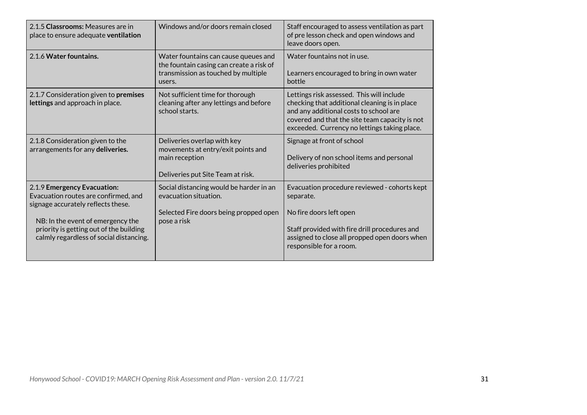| 2.1.5 Classrooms: Measures are in<br>place to ensure adequate ventilation                                                                                                                                                            | Windows and/or doors remain closed                                                                                                | Staff encouraged to assess ventilation as part<br>of pre lesson check and open windows and<br>leave doors open.                                                                                                                        |
|--------------------------------------------------------------------------------------------------------------------------------------------------------------------------------------------------------------------------------------|-----------------------------------------------------------------------------------------------------------------------------------|----------------------------------------------------------------------------------------------------------------------------------------------------------------------------------------------------------------------------------------|
| 2.1.6 Water fountains.                                                                                                                                                                                                               | Water fountains can cause queues and<br>the fountain casing can create a risk of<br>transmission as touched by multiple<br>users. | Water fountains not in use.<br>Learners encouraged to bring in own water<br>bottle                                                                                                                                                     |
| 2.1.7 Consideration given to premises<br>lettings and approach in place.                                                                                                                                                             | Not sufficient time for thorough<br>cleaning after any lettings and before<br>school starts.                                      | Lettings risk assessed. This will include<br>checking that additional cleaning is in place<br>and any additional costs to school are<br>covered and that the site team capacity is not<br>exceeded. Currency no lettings taking place. |
| 2.1.8 Consideration given to the<br>arrangements for any deliveries.                                                                                                                                                                 | Deliveries overlap with key<br>movements at entry/exit points and<br>main reception<br>Deliveries put Site Team at risk.          | Signage at front of school<br>Delivery of non school items and personal<br>deliveries prohibited                                                                                                                                       |
| 2.1.9 Emergency Evacuation:<br>Evacuation routes are confirmed, and<br>signage accurately reflects these.<br>NB: In the event of emergency the<br>priority is getting out of the building<br>calmly regardless of social distancing. | Social distancing would be harder in an<br>evacuation situation.<br>Selected Fire doors being propped open<br>pose a risk         | Evacuation procedure reviewed - cohorts kept<br>separate.<br>No fire doors left open<br>Staff provided with fire drill procedures and<br>assigned to close all propped open doors when<br>responsible for a room.                      |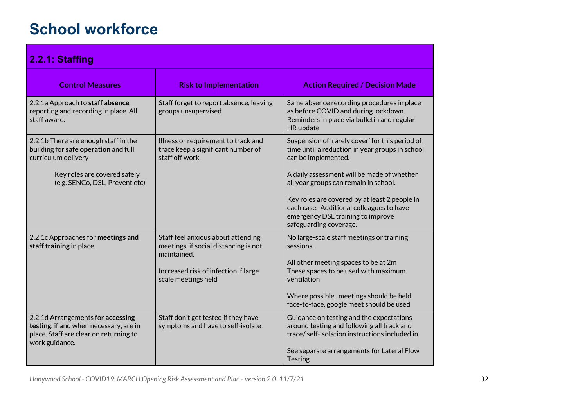# **School workforce**

<span id="page-32-0"></span>

| 2.2.1: Staffing                                                                                                                                                       |                                                                                                                                                           |                                                                                                                                                                                                                                                                                                               |
|-----------------------------------------------------------------------------------------------------------------------------------------------------------------------|-----------------------------------------------------------------------------------------------------------------------------------------------------------|---------------------------------------------------------------------------------------------------------------------------------------------------------------------------------------------------------------------------------------------------------------------------------------------------------------|
| <b>Control Measures</b>                                                                                                                                               | <b>Risk to Implementation</b>                                                                                                                             | <b>Action Required / Decision Made</b>                                                                                                                                                                                                                                                                        |
| 2.2.1a Approach to staff absence<br>reporting and recording in place. All<br>staff aware.                                                                             | Staff forget to report absence, leaving<br>groups unsupervised                                                                                            | Same absence recording procedures in place<br>as before COVID and during lockdown.<br>Reminders in place via bulletin and regular<br>HR update                                                                                                                                                                |
| 2.2.1b There are enough staff in the<br>building for safe operation and full<br>curriculum delivery<br>Key roles are covered safely<br>(e.g. SENCo, DSL, Prevent etc) | Illness or requirement to track and<br>trace keep a significant number of<br>staff off work.                                                              | Suspension of 'rarely cover' for this period of<br>time until a reduction in year groups in school<br>can be implemented.<br>A daily assessment will be made of whether<br>all year groups can remain in school.<br>Key roles are covered by at least 2 people in<br>each case. Additional colleagues to have |
|                                                                                                                                                                       |                                                                                                                                                           | emergency DSL training to improve<br>safeguarding coverage.                                                                                                                                                                                                                                                   |
| 2.2.1c Approaches for meetings and<br>staff training in place.                                                                                                        | Staff feel anxious about attending<br>meetings, if social distancing is not<br>maintained.<br>Increased risk of infection if large<br>scale meetings held | No large-scale staff meetings or training<br>sessions.<br>All other meeting spaces to be at 2m<br>These spaces to be used with maximum<br>ventilation<br>Where possible, meetings should be held                                                                                                              |
| 2.2.1d Arrangements for accessing                                                                                                                                     | Staff don't get tested if they have                                                                                                                       | face-to-face, google meet should be used<br>Guidance on testing and the expectations                                                                                                                                                                                                                          |
| testing, if and when necessary, are in<br>place. Staff are clear on returning to<br>work guidance.                                                                    | symptoms and have to self-isolate                                                                                                                         | around testing and following all track and<br>trace/self-isolation instructions included in<br>See separate arrangements for Lateral Flow<br>Testing                                                                                                                                                          |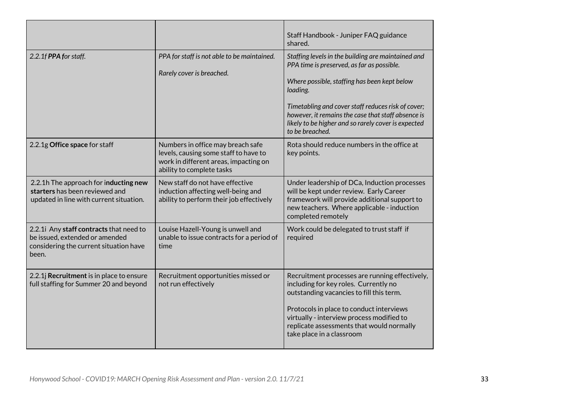|                                                                                                                              |                                                                                                                                                  | Staff Handbook - Juniper FAQ guidance<br>shared.                                                                                                                                                                                                                                                                                                   |
|------------------------------------------------------------------------------------------------------------------------------|--------------------------------------------------------------------------------------------------------------------------------------------------|----------------------------------------------------------------------------------------------------------------------------------------------------------------------------------------------------------------------------------------------------------------------------------------------------------------------------------------------------|
| 2.2.1f PPA for staff.                                                                                                        | PPA for staff is not able to be maintained.<br>Rarely cover is breached.                                                                         | Staffing levels in the building are maintained and<br>PPA time is preserved, as far as possible.<br>Where possible, staffing has been kept below<br>loading.<br>Timetabling and cover staff reduces risk of cover;<br>however, it remains the case that staff absence is<br>likely to be higher and so rarely cover is expected<br>to be breached. |
| 2.2.1g Office space for staff                                                                                                | Numbers in office may breach safe<br>levels, causing some staff to have to<br>work in different areas, impacting on<br>ability to complete tasks | Rota should reduce numbers in the office at<br>key points.                                                                                                                                                                                                                                                                                         |
| 2.2.1h The approach for inducting new<br>starters has been reviewed and<br>updated in line with current situation.           | New staff do not have effective<br>induction affecting well-being and<br>ability to perform their job effectively                                | Under leadership of DCa, Induction processes<br>will be kept under review. Early Career<br>framework will provide additional support to<br>new teachers. Where applicable - induction<br>completed remotely                                                                                                                                        |
| 2.2.1i Any staff contracts that need to<br>be issued, extended or amended<br>considering the current situation have<br>been. | Louise Hazell-Young is unwell and<br>unable to issue contracts for a period of<br>time                                                           | Work could be delegated to trust staff if<br>required                                                                                                                                                                                                                                                                                              |
| 2.2.1j Recruitment is in place to ensure<br>full staffing for Summer 20 and beyond                                           | Recruitment opportunities missed or<br>not run effectively                                                                                       | Recruitment processes are running effectively,<br>including for key roles. Currently no<br>outstanding vacancies to fill this term.<br>Protocols in place to conduct interviews<br>virtually - interview process modified to<br>replicate assessments that would normally<br>take place in a classroom                                             |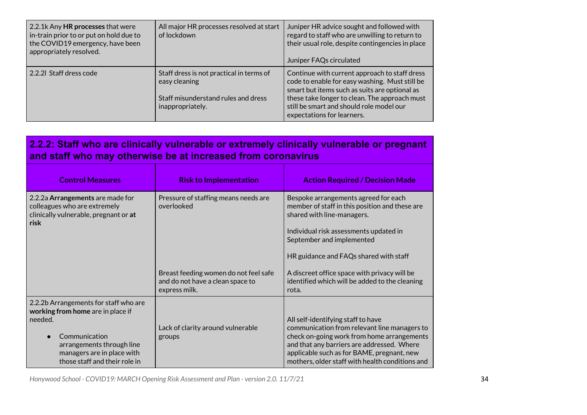| 2.2.1k Any HR processes that were<br>in-train prior to or put on hold due to<br>the COVID19 emergency, have been<br>appropriately resolved. | All major HR processes resolved at start<br>of lockdown                                                              | Juniper HR advice sought and followed with<br>regard to staff who are unwilling to return to<br>their usual role, despite contingencies in place<br>Juniper FAQs circulated                                                                                                 |
|---------------------------------------------------------------------------------------------------------------------------------------------|----------------------------------------------------------------------------------------------------------------------|-----------------------------------------------------------------------------------------------------------------------------------------------------------------------------------------------------------------------------------------------------------------------------|
| 2.2.21 Staff dress code                                                                                                                     | Staff dress is not practical in terms of<br>easy cleaning<br>Staff misunderstand rules and dress<br>inappropriately. | Continue with current approach to staff dress<br>code to enable for easy washing. Must still be<br>smart but items such as suits are optional as<br>these take longer to clean. The approach must<br>still be smart and should role model our<br>expectations for learners. |

## <span id="page-34-0"></span>**2.2.2: Staff who are clinically vulnerable or extremely clinically vulnerable or pregnant and staff who may otherwise be at increased from coronavirus**

| <b>Control Measures</b>                                                                                                                                                                            | <b>Risk to Implementation</b>                                                              | <b>Action Required / Decision Made</b>                                                                                                                                                                                                                                          |
|----------------------------------------------------------------------------------------------------------------------------------------------------------------------------------------------------|--------------------------------------------------------------------------------------------|---------------------------------------------------------------------------------------------------------------------------------------------------------------------------------------------------------------------------------------------------------------------------------|
| 2.2.2a Arrangements are made for<br>colleagues who are extremely<br>clinically vulnerable, pregnant or at<br>risk                                                                                  | Pressure of staffing means needs are<br>overlooked                                         | Bespoke arrangements agreed for each<br>member of staff in this position and these are<br>shared with line-managers.<br>Individual risk assessments updated in<br>September and implemented<br>HR guidance and FAQs shared with staff                                           |
|                                                                                                                                                                                                    | Breast feeding women do not feel safe<br>and do not have a clean space to<br>express milk. | A discreet office space with privacy will be<br>identified which will be added to the cleaning<br>rota.                                                                                                                                                                         |
| 2.2.2b Arrangements for staff who are<br>working from home are in place if<br>needed.<br>Communication<br>arrangements through line<br>managers are in place with<br>those staff and their role in | Lack of clarity around vulnerable<br>groups                                                | All self-identifying staff to have<br>communication from relevant line managers to<br>check on-going work from home arrangements<br>and that any barriers are addressed. Where<br>applicable such as for BAME, pregnant, new<br>mothers, older staff with health conditions and |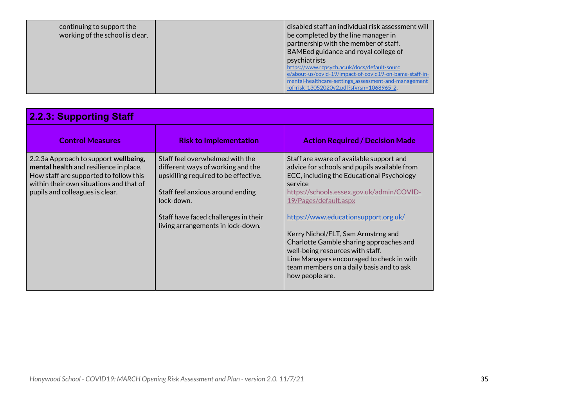| continuing to support the<br>working of the school is clear. |  | disabled staff an individual risk assessment will<br>be completed by the line manager in<br>partnership with the member of staff.<br>BAMEed guidance and royal college of<br>psychiatrists<br>https://www.rcpsych.ac.uk/docs/default-sourc<br>e/about-us/covid-19/impact-of-covid19-on-bame-staff-in-<br>mental-healthcare-settings_assessment-and-management<br>-of-risk 13052020v2.pdf?sfvrsn=1068965 2. |
|--------------------------------------------------------------|--|------------------------------------------------------------------------------------------------------------------------------------------------------------------------------------------------------------------------------------------------------------------------------------------------------------------------------------------------------------------------------------------------------------|
|--------------------------------------------------------------|--|------------------------------------------------------------------------------------------------------------------------------------------------------------------------------------------------------------------------------------------------------------------------------------------------------------------------------------------------------------------------------------------------------------|

<span id="page-35-0"></span>

| <b>2.2.3: Supporting Staff</b>                                                                                                                                                                          |                                                                                                                                                                                                                                             |                                                                                                                                                                                                                                                                                                                                                                                                                                                                                                 |
|---------------------------------------------------------------------------------------------------------------------------------------------------------------------------------------------------------|---------------------------------------------------------------------------------------------------------------------------------------------------------------------------------------------------------------------------------------------|-------------------------------------------------------------------------------------------------------------------------------------------------------------------------------------------------------------------------------------------------------------------------------------------------------------------------------------------------------------------------------------------------------------------------------------------------------------------------------------------------|
| <b>Control Measures</b>                                                                                                                                                                                 | <b>Risk to Implementation</b>                                                                                                                                                                                                               | <b>Action Required / Decision Made</b>                                                                                                                                                                                                                                                                                                                                                                                                                                                          |
| 2.2.3a Approach to support wellbeing,<br>mental health and resilience in place.<br>How staff are supported to follow this<br>within their own situations and that of<br>pupils and colleagues is clear. | Staff feel overwhelmed with the<br>different ways of working and the<br>upskilling required to be effective.<br>Staff feel anxious around ending<br>lock-down.<br>Staff have faced challenges in their<br>living arrangements in lock-down. | Staff are aware of available support and<br>advice for schools and pupils available from<br>ECC, including the Educational Psychology<br>service<br>https://schools.essex.gov.uk/admin/COVID-<br>19/Pages/default.aspx<br>https://www.educationsupport.org.uk/<br>Kerry Nichol/FLT, Sam Armstrng and<br>Charlotte Gamble sharing approaches and<br>well-being resources with staff.<br>Line Managers encouraged to check in with<br>team members on a daily basis and to ask<br>how people are. |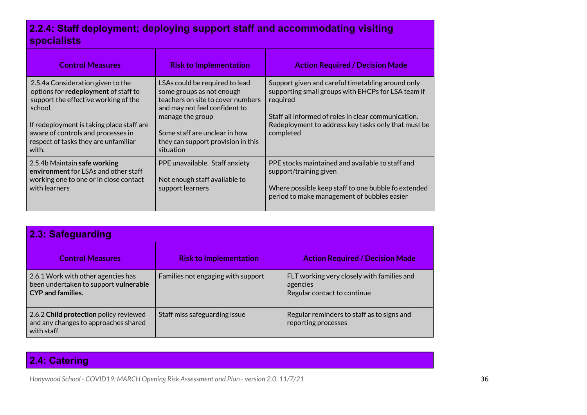## <span id="page-36-0"></span>**2.2.4: Staff deployment; deploying support staff and accommodating visiting specialists**

| <b>Control Measures</b>                                                                                                                                                                                                                                          | <b>Risk to Implementation</b>                                                                                                                                                                                                             | <b>Action Required / Decision Made</b>                                                                                                                                                                                                         |
|------------------------------------------------------------------------------------------------------------------------------------------------------------------------------------------------------------------------------------------------------------------|-------------------------------------------------------------------------------------------------------------------------------------------------------------------------------------------------------------------------------------------|------------------------------------------------------------------------------------------------------------------------------------------------------------------------------------------------------------------------------------------------|
| 2.5.4a Consideration given to the<br>options for redeployment of staff to<br>support the effective working of the<br>school.<br>If redeployment is taking place staff are<br>aware of controls and processes in<br>respect of tasks they are unfamiliar<br>with. | LSAs could be required to lead<br>some groups as not enough<br>teachers on site to cover numbers<br>and may not feel confident to<br>manage the group<br>Some staff are unclear in how<br>they can support provision in this<br>situation | Support given and careful timetabling around only<br>supporting small groups with EHCPs for LSA team if<br>required<br>Staff all informed of roles in clear communication.<br>Redeployment to address key tasks only that must be<br>completed |
| 2.5.4b Maintain safe working<br>environment for LSAs and other staff<br>working one to one or in close contact<br>with learners                                                                                                                                  | PPE unavailable. Staff anxiety<br>Not enough staff available to<br>support learners                                                                                                                                                       | PPE stocks maintained and available to staff and<br>support/training given<br>Where possible keep staff to one bubble fo extended<br>period to make management of bubbles easier                                                               |

<span id="page-36-1"></span>

| 2.3: Safeguarding                                                                                |                                    |                                                                                       |
|--------------------------------------------------------------------------------------------------|------------------------------------|---------------------------------------------------------------------------------------|
| <b>Control Measures</b>                                                                          | <b>Risk to Implementation</b>      | <b>Action Required / Decision Made</b>                                                |
| 2.6.1 Work with other agencies has<br>been undertaken to support vulnerable<br>CYP and families. | Families not engaging with support | FLT working very closely with families and<br>agencies<br>Regular contact to continue |
| 2.6.2 Child protection policy reviewed<br>and any changes to approaches shared<br>with staff     | Staff miss safeguarding issue      | Regular reminders to staff as to signs and<br>reporting processes                     |

## <span id="page-36-2"></span>**2.4: Catering**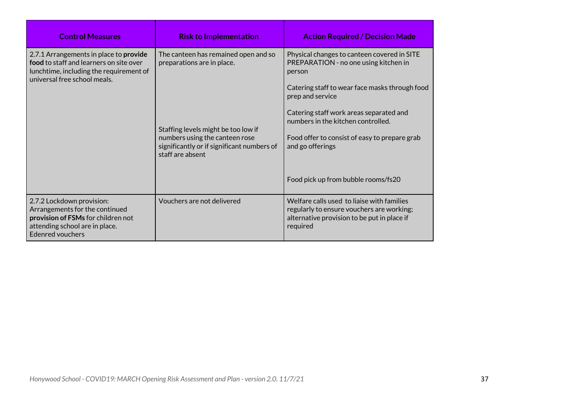| <b>Control Measures</b>                                                                                                                                        | <b>Risk to Implementation</b>                                                                                                           | <b>Action Required / Decision Made</b>                                                                                                                                                                                                                |
|----------------------------------------------------------------------------------------------------------------------------------------------------------------|-----------------------------------------------------------------------------------------------------------------------------------------|-------------------------------------------------------------------------------------------------------------------------------------------------------------------------------------------------------------------------------------------------------|
| 2.7.1 Arrangements in place to provide<br>food to staff and learners on site over<br>lunchtime, including the requirement of<br>universal free school meals.   | The canteen has remained open and so<br>preparations are in place.                                                                      | Physical changes to canteen covered in SITE<br>PREPARATION - no one using kitchen in<br>person<br>Catering staff to wear face masks through food<br>prep and service<br>Catering staff work areas separated and<br>numbers in the kitchen controlled. |
|                                                                                                                                                                | Staffing levels might be too low if<br>numbers using the canteen rose<br>significantly or if significant numbers of<br>staff are absent | Food offer to consist of easy to prepare grab<br>and go offerings<br>Food pick up from bubble rooms/fs20                                                                                                                                              |
| 2.7.2 Lockdown provision:<br>Arrangements for the continued<br>provision of FSMs for children not<br>attending school are in place.<br><b>Edenred vouchers</b> | Vouchers are not delivered                                                                                                              | Welfare calls used to liaise with families<br>regularly to ensure vouchers are working;<br>alternative provision to be put in place if<br>required                                                                                                    |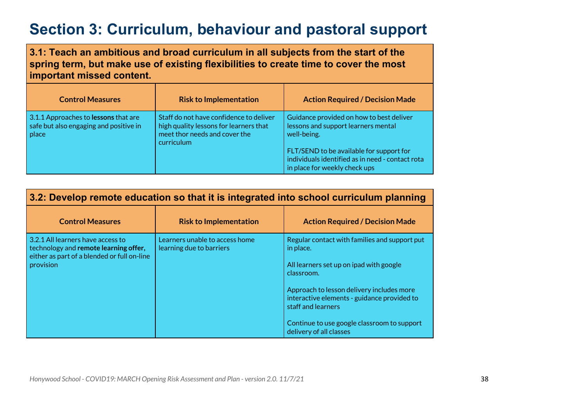# <span id="page-38-0"></span>**Section 3: Curriculum, behaviour and pastoral support**

<span id="page-38-1"></span>**3.1: Teach an ambitious and broad curriculum in all subjects from the start of the spring term, but make use of existing flexibilities to create time to cover the most important missed content.**

| <b>Control Measures</b>                                                                 | <b>Risk to Implementation</b>                                                                                                    | <b>Action Required / Decision Made</b>                                                                                        |
|-----------------------------------------------------------------------------------------|----------------------------------------------------------------------------------------------------------------------------------|-------------------------------------------------------------------------------------------------------------------------------|
| 3.1.1 Approaches to lessons that are<br>safe but also engaging and positive in<br>place | Staff do not have confidence to deliver<br>high quality lessons for learners that<br>meet thor needs and cover the<br>curriculum | Guidance provided on how to best deliver<br>lessons and support learners mental<br>well-being.                                |
|                                                                                         |                                                                                                                                  | FLT/SEND to be available for support for<br>individuals identified as in need - contact rota<br>in place for weekly check ups |

### <span id="page-38-2"></span>**3.2: Develop remote education so that it is integrated into school curriculum planning**

| <b>Control Measures</b>                                                                                                                | <b>Risk to Implementation</b>                              | <b>Action Required / Decision Made</b>                                                                                                                                                                          |
|----------------------------------------------------------------------------------------------------------------------------------------|------------------------------------------------------------|-----------------------------------------------------------------------------------------------------------------------------------------------------------------------------------------------------------------|
| 3.2.1 All learners have access to<br>technology and remote learning offer,<br>either as part of a blended or full on-line<br>provision | Learners unable to access home<br>learning due to barriers | Regular contact with families and support put<br>in place.<br>All learners set up on ipad with google<br>classroom.<br>Approach to lesson delivery includes more<br>interactive elements - guidance provided to |
|                                                                                                                                        |                                                            | staff and learners<br>Continue to use google classroom to support<br>delivery of all classes                                                                                                                    |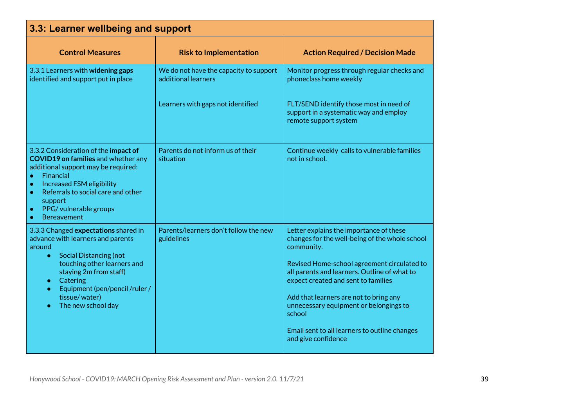<span id="page-39-0"></span>

| 3.3: Learner wellbeing and support                                                                                                                                                                                                                                                                                      |                                                               |                                                                                                                                                                                                                                                                                                                                                                                                                     |
|-------------------------------------------------------------------------------------------------------------------------------------------------------------------------------------------------------------------------------------------------------------------------------------------------------------------------|---------------------------------------------------------------|---------------------------------------------------------------------------------------------------------------------------------------------------------------------------------------------------------------------------------------------------------------------------------------------------------------------------------------------------------------------------------------------------------------------|
| <b>Control Measures</b>                                                                                                                                                                                                                                                                                                 | <b>Risk to Implementation</b>                                 | <b>Action Required / Decision Made</b>                                                                                                                                                                                                                                                                                                                                                                              |
| 3.3.1 Learners with widening gaps<br>identified and support put in place                                                                                                                                                                                                                                                | We do not have the capacity to support<br>additional learners | Monitor progress through regular checks and<br>phoneclass home weekly                                                                                                                                                                                                                                                                                                                                               |
|                                                                                                                                                                                                                                                                                                                         | Learners with gaps not identified                             | FLT/SEND identify those most in need of<br>support in a systematic way and employ<br>remote support system                                                                                                                                                                                                                                                                                                          |
| 3.3.2 Consideration of the impact of<br><b>COVID19 on families</b> and whether any<br>additional support may be required:<br>Financial<br>$\bullet$<br>Increased FSM eligibility<br>$\bullet$<br>Referrals to social care and other<br>$\bullet$<br>support<br>PPG/vulnerable groups<br>$\bullet$<br><b>Bereavement</b> | Parents do not inform us of their<br>situation                | Continue weekly calls to vulnerable families<br>not in school.                                                                                                                                                                                                                                                                                                                                                      |
| 3.3.3 Changed expectations shared in<br>advance with learners and parents<br>around<br><b>Social Distancing (not</b><br>$\bullet$<br>touching other learners and<br>staying 2m from staff)<br>Catering<br>$\bullet$<br>Equipment (pen/pencil /ruler /<br>tissue/water)<br>The new school day                            | Parents/learners don't follow the new<br>guidelines           | Letter explains the importance of these<br>changes for the well-being of the whole school<br>community.<br>Revised Home-school agreement circulated to<br>all parents and learners. Outline of what to<br>expect created and sent to families<br>Add that learners are not to bring any<br>unnecessary equipment or belongings to<br>school<br>Email sent to all learners to outline changes<br>and give confidence |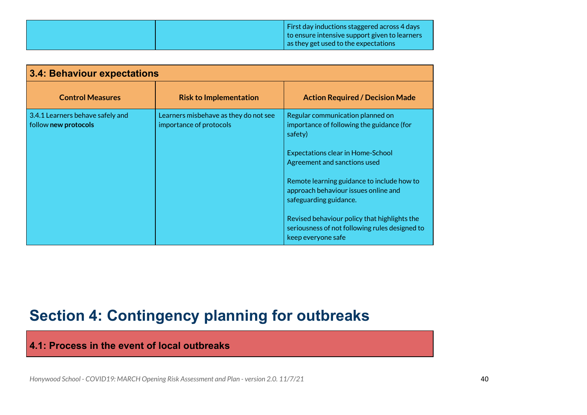|  | $\vert$ First day inductions staggered across 4 days |
|--|------------------------------------------------------|
|  | to ensure intensive support given to learners        |
|  | $\vert$ as they get used to the expectations         |

<span id="page-40-0"></span>

| 3.4: Behaviour expectations                              |                                                                  |                                                                                                                                                                                                                                                                                                                                                                                                              |
|----------------------------------------------------------|------------------------------------------------------------------|--------------------------------------------------------------------------------------------------------------------------------------------------------------------------------------------------------------------------------------------------------------------------------------------------------------------------------------------------------------------------------------------------------------|
| <b>Control Measures</b>                                  | <b>Risk to Implementation</b>                                    | <b>Action Required / Decision Made</b>                                                                                                                                                                                                                                                                                                                                                                       |
| 3.4.1 Learners behave safely and<br>follow new protocols | Learners misbehave as they do not see<br>importance of protocols | Regular communication planned on<br>importance of following the guidance (for<br>safety)<br><b>Expectations clear in Home-School</b><br>Agreement and sanctions used<br>Remote learning guidance to include how to<br>approach behaviour issues online and<br>safeguarding guidance.<br>Revised behaviour policy that highlights the<br>seriousness of not following rules designed to<br>keep everyone safe |

# <span id="page-40-1"></span>**Section 4: Contingency planning for outbreaks**

<span id="page-40-2"></span>**4.1: Process in the event of local outbreaks**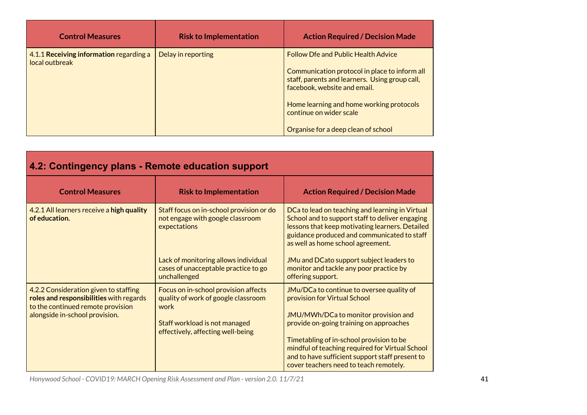| <b>Control Measures</b>                                   | <b>Risk to Implementation</b> | <b>Action Required / Decision Made</b>                                                                                                                                                                                                                                                      |
|-----------------------------------------------------------|-------------------------------|---------------------------------------------------------------------------------------------------------------------------------------------------------------------------------------------------------------------------------------------------------------------------------------------|
| 4.1.1 Receiving information regarding a<br>local outbreak | Delay in reporting            | <b>Follow Dfe and Public Health Advice</b><br>Communication protocol in place to inform all<br>staff, parents and learners. Using group call,<br>facebook, website and email.<br>Home learning and home working protocols<br>continue on wider scale<br>Organise for a deep clean of school |

<span id="page-41-0"></span>

| 4.2: Contingency plans - Remote education support                                                                                                       |                                                                                                                                                           |                                                                                                                                                                                                                                                                                                                                                          |
|---------------------------------------------------------------------------------------------------------------------------------------------------------|-----------------------------------------------------------------------------------------------------------------------------------------------------------|----------------------------------------------------------------------------------------------------------------------------------------------------------------------------------------------------------------------------------------------------------------------------------------------------------------------------------------------------------|
| <b>Control Measures</b>                                                                                                                                 | <b>Risk to Implementation</b>                                                                                                                             | <b>Action Required / Decision Made</b>                                                                                                                                                                                                                                                                                                                   |
| 4.2.1 All learners receive a high quality<br>of education.                                                                                              | Staff focus on in-school provision or do<br>not engage with google classroom<br>expectations                                                              | DCa to lead on teaching and learning in Virtual<br>School and to support staff to deliver engaging<br>lessons that keep motivating learners. Detailed<br>guidance produced and communicated to staff<br>as well as home school agreement.                                                                                                                |
|                                                                                                                                                         | Lack of monitoring allows individual<br>cases of unacceptable practice to go<br>unchallenged                                                              | JMu and DCato support subject leaders to<br>monitor and tackle any poor practice by<br>offering support.                                                                                                                                                                                                                                                 |
| 4.2.2 Consideration given to staffing<br>roles and responsibilities with regards<br>to the continued remote provision<br>alongside in-school provision. | Focus on in-school provision affects<br>quality of work of google classroom<br>work<br>Staff workload is not managed<br>effectively, affecting well-being | JMu/DCa to continue to oversee quality of<br>provision for Virtual School<br>JMU/MWh/DCa to monitor provision and<br>provide on-going training on approaches<br>Timetabling of in-school provision to be<br>mindful of teaching required for Virtual School<br>and to have sufficient support staff present to<br>cover teachers need to teach remotely. |